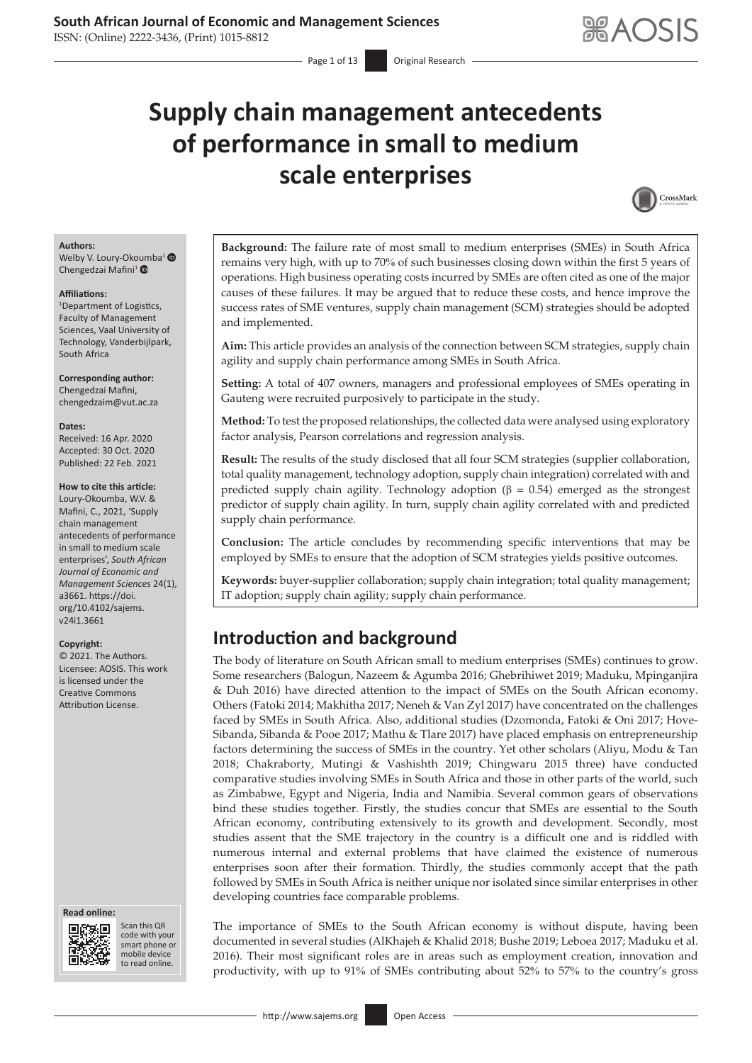ISSN: (Online) 2222-3436, (Print) 1015-8812

# **Supply chain management antecedents of performance in small to medium scale enterprises**



#### **Authors:**

Welby V. Loury-Ok[oum](https://orcid.org/0000-0002-9426-0975)ba<sup>1</sup> Chengedzai Mafini<sup>1</sup>

#### **Affiliations:**

1 Department of Logistics, Faculty of Management Sciences, Vaal University of Technology, Vanderbijlpark, South Africa

**Corresponding author:** Chengedzai Mafini, [chengedzaim@vut.ac.za](mailto:chengedzaim@vut.ac.za)

#### **Dates:**

Received: 16 Apr. 2020 Accepted: 30 Oct. 2020 Published: 22 Feb. 2021

#### **How to cite this article:**

Loury-Okoumba, W.V. & Mafini, C., 2021, 'Supply chain management antecedents of performance in small to medium scale enterprises', *South African Journal of Economic and Management Sciences* 24(1), a3661. [https://doi.](https://doi.org/10.4102/sajems.v24i1.3661) [org/10.4102/sajems.](https://doi.org/10.4102/sajems.v24i1.3661) [v24i1.3661](https://doi.org/10.4102/sajems.v24i1.3661)

#### **Copyright:**

© 2021. The Authors. Licensee: AOSIS. This work is licensed under the Creative Commons Attribution License.

#### **Read online: Read online:**



Scan this QR code with your Scan this QR<br>code with your<br>smart phone or<br>mobile device mobile device to read online. to read online.

**Background:** The failure rate of most small to medium enterprises (SMEs) in South Africa remains very high, with up to 70% of such businesses closing down within the first 5 years of operations. High business operating costs incurred by SMEs are often cited as one of the major causes of these failures. It may be argued that to reduce these costs, and hence improve the success rates of SME ventures, supply chain management (SCM) strategies should be adopted and implemented.

**Aim:** This article provides an analysis of the connection between SCM strategies, supply chain agility and supply chain performance among SMEs in South Africa.

**Setting:** A total of 407 owners, managers and professional employees of SMEs operating in Gauteng were recruited purposively to participate in the study.

**Method:** To test the proposed relationships, the collected data were analysed using exploratory factor analysis, Pearson correlations and regression analysis.

**Result:** The results of the study disclosed that all four SCM strategies (supplier collaboration, total quality management, technology adoption, supply chain integration) correlated with and predicted supply chain agility. Technology adoption ( $β = 0.54$ ) emerged as the strongest predictor of supply chain agility. In turn, supply chain agility correlated with and predicted supply chain performance.

**Conclusion:** The article concludes by recommending specific interventions that may be employed by SMEs to ensure that the adoption of SCM strategies yields positive outcomes.

**Keywords:** buyer-supplier collaboration; supply chain integration; total quality management; IT adoption; supply chain agility; supply chain performance.

# **Introduction and background**

The body of literature on South African small to medium enterprises (SMEs) continues to grow. Some researchers (Balogun, Nazeem & Agumba 2016; Ghebrihiwet 2019; Maduku, Mpinganjira & Duh 2016) have directed attention to the impact of SMEs on the South African economy. Others (Fatoki 2014; Makhitha 2017; Neneh & Van Zyl 2017) have concentrated on the challenges faced by SMEs in South Africa. Also, additional studies (Dzomonda, Fatoki & Oni 2017; Hove-Sibanda, Sibanda & Pooe 2017; Mathu & Tlare 2017) have placed emphasis on entrepreneurship factors determining the success of SMEs in the country. Yet other scholars (Aliyu, Modu & Tan 2018; Chakraborty, Mutingi & Vashishth 2019; Chingwaru 2015 three) have conducted comparative studies involving SMEs in South Africa and those in other parts of the world, such as Zimbabwe, Egypt and Nigeria, India and Namibia. Several common gears of observations bind these studies together. Firstly, the studies concur that SMEs are essential to the South African economy, contributing extensively to its growth and development. Secondly, most studies assent that the SME trajectory in the country is a difficult one and is riddled with numerous internal and external problems that have claimed the existence of numerous enterprises soon after their formation. Thirdly, the studies commonly accept that the path followed by SMEs in South Africa is neither unique nor isolated since similar enterprises in other developing countries face comparable problems.

The importance of SMEs to the South African economy is without dispute, having been documented in several studies (AlKhajeh & Khalid 2018; Bushe 2019; Leboea 2017; Maduku et al. 2016). Their most significant roles are in areas such as employment creation, innovation and productivity, with up to 91% of SMEs contributing about 52% to 57% to the country's gross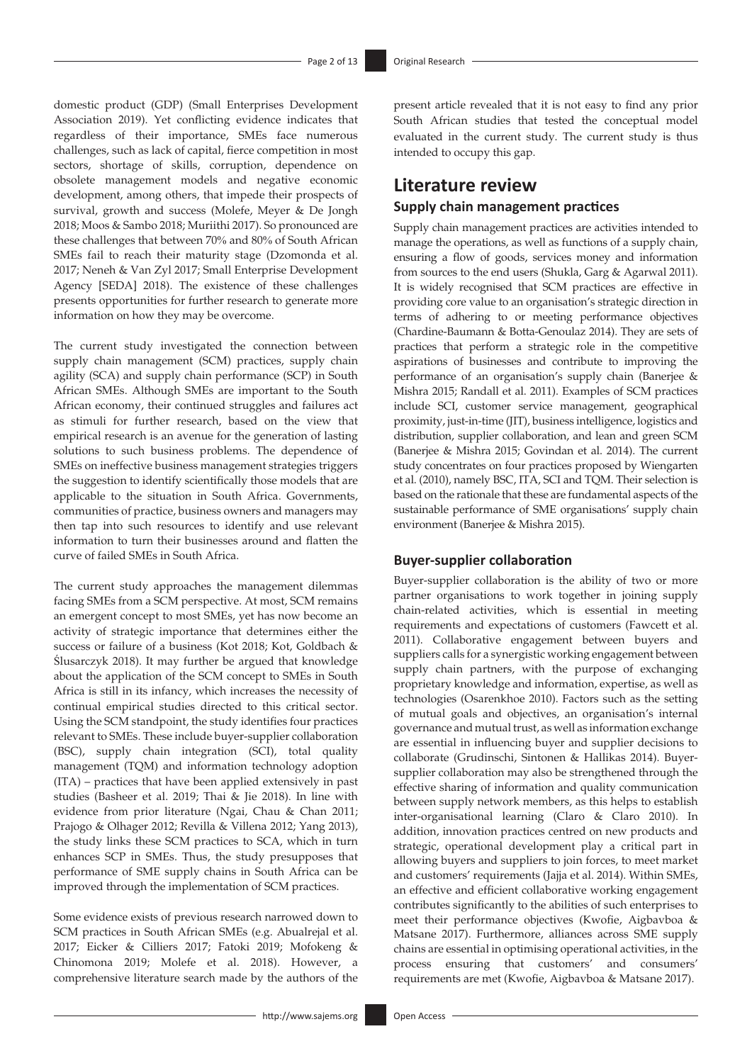domestic product (GDP) (Small Enterprises Development Association 2019). Yet conflicting evidence indicates that regardless of their importance, SMEs face numerous challenges, such as lack of capital, fierce competition in most sectors, shortage of skills, corruption, dependence on obsolete management models and negative economic development, among others, that impede their prospects of survival, growth and success (Molefe, Meyer & De Jongh 2018; Moos & Sambo 2018; Muriithi 2017). So pronounced are these challenges that between 70% and 80% of South African SMEs fail to reach their maturity stage (Dzomonda et al. 2017; Neneh & Van Zyl 2017; Small Enterprise Development Agency [SEDA] 2018). The existence of these challenges presents opportunities for further research to generate more information on how they may be overcome.

The current study investigated the connection between supply chain management (SCM) practices, supply chain agility (SCA) and supply chain performance (SCP) in South African SMEs. Although SMEs are important to the South African economy, their continued struggles and failures act as stimuli for further research, based on the view that empirical research is an avenue for the generation of lasting solutions to such business problems. The dependence of SMEs on ineffective business management strategies triggers the suggestion to identify scientifically those models that are applicable to the situation in South Africa. Governments, communities of practice, business owners and managers may then tap into such resources to identify and use relevant information to turn their businesses around and flatten the curve of failed SMEs in South Africa.

The current study approaches the management dilemmas facing SMEs from a SCM perspective. At most, SCM remains an emergent concept to most SMEs, yet has now become an activity of strategic importance that determines either the success or failure of a business (Kot 2018; Kot, Goldbach & Ślusarczyk 2018). It may further be argued that knowledge about the application of the SCM concept to SMEs in South Africa is still in its infancy, which increases the necessity of continual empirical studies directed to this critical sector. Using the SCM standpoint, the study identifies four practices relevant to SMEs. These include buyer-supplier collaboration (BSC), supply chain integration (SCI), total quality management (TQM) and information technology adoption (ITA) – practices that have been applied extensively in past studies (Basheer et al. 2019; Thai & Jie 2018). In line with evidence from prior literature (Ngai, Chau & Chan 2011; Prajogo & Olhager 2012; Revilla & Villena 2012; Yang 2013), the study links these SCM practices to SCA, which in turn enhances SCP in SMEs. Thus, the study presupposes that performance of SME supply chains in South Africa can be improved through the implementation of SCM practices.

Some evidence exists of previous research narrowed down to SCM practices in South African SMEs (e.g. Abualrejal et al. 2017; Eicker & Cilliers 2017; Fatoki 2019; Mofokeng & Chinomona 2019; Molefe et al. 2018). However, a comprehensive literature search made by the authors of the present article revealed that it is not easy to find any prior South African studies that tested the conceptual model evaluated in the current study. The current study is thus intended to occupy this gap.

### **Literature review**

### **Supply chain management practices**

Supply chain management practices are activities intended to manage the operations, as well as functions of a supply chain, ensuring a flow of goods, services money and information from sources to the end users (Shukla, Garg & Agarwal 2011). It is widely recognised that SCM practices are effective in providing core value to an organisation's strategic direction in terms of adhering to or meeting performance objectives (Chardine-Baumann & Botta-Genoulaz 2014). They are sets of practices that perform a strategic role in the competitive aspirations of businesses and contribute to improving the performance of an organisation's supply chain (Banerjee & Mishra 2015; Randall et al. 2011). Examples of SCM practices include SCI, customer service management, geographical proximity, just-in-time (JIT), business intelligence, logistics and distribution, supplier collaboration, and lean and green SCM (Banerjee & Mishra 2015; Govindan et al. 2014). The current study concentrates on four practices proposed by Wiengarten et al. (2010), namely BSC, ITA, SCI and TQM. Their selection is based on the rationale that these are fundamental aspects of the sustainable performance of SME organisations' supply chain environment (Banerjee & Mishra 2015).

### **Buyer-supplier collaboration**

Buyer-supplier collaboration is the ability of two or more partner organisations to work together in joining supply chain-related activities, which is essential in meeting requirements and expectations of customers (Fawcett et al. 2011). Collaborative engagement between buyers and suppliers calls for a synergistic working engagement between supply chain partners, with the purpose of exchanging proprietary knowledge and information, expertise, as well as technologies (Osarenkhoe 2010). Factors such as the setting of mutual goals and objectives, an organisation's internal governance and mutual trust, as well as information exchange are essential in influencing buyer and supplier decisions to collaborate (Grudinschi, Sintonen & Hallikas 2014). Buyersupplier collaboration may also be strengthened through the effective sharing of information and quality communication between supply network members, as this helps to establish inter-organisational learning (Claro & Claro 2010). In addition, innovation practices centred on new products and strategic, operational development play a critical part in allowing buyers and suppliers to join forces, to meet market and customers' requirements (Jajja et al. 2014). Within SMEs, an effective and efficient collaborative working engagement contributes significantly to the abilities of such enterprises to meet their performance objectives (Kwofie, Aigbavboa & Matsane 2017). Furthermore, alliances across SME supply chains are essential in optimising operational activities, in the process ensuring that customers' and consumers' requirements are met (Kwofie, Aigbavboa & Matsane 2017).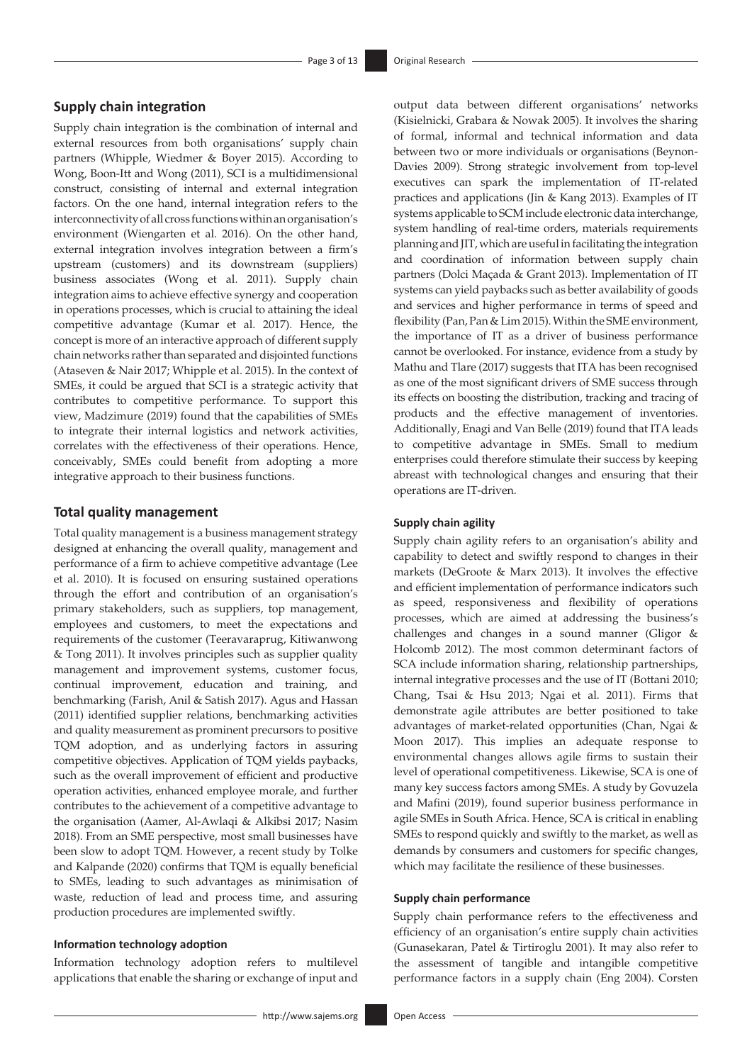#### **Supply chain integration**

Supply chain integration is the combination of internal and external resources from both organisations' supply chain partners (Whipple, Wiedmer & Boyer 2015). According to Wong, Boon-Itt and Wong (2011), SCI is a multidimensional construct, consisting of internal and external integration factors. On the one hand, internal integration refers to the interconnectivity of all cross functions within an organisation's environment (Wiengarten et al. 2016). On the other hand, external integration involves integration between a firm's upstream (customers) and its downstream (suppliers) business associates (Wong et al. 2011). Supply chain integration aims to achieve effective synergy and cooperation in operations processes, which is crucial to attaining the ideal competitive advantage (Kumar et al. 2017). Hence, the concept is more of an interactive approach of different supply chain networks rather than separated and disjointed functions (Ataseven & Nair 2017; Whipple et al. 2015). In the context of SMEs, it could be argued that SCI is a strategic activity that contributes to competitive performance. To support this view, Madzimure (2019) found that the capabilities of SMEs to integrate their internal logistics and network activities, correlates with the effectiveness of their operations. Hence, conceivably, SMEs could benefit from adopting a more integrative approach to their business functions.

#### **Total quality management**

Total quality management is a business management strategy designed at enhancing the overall quality, management and performance of a firm to achieve competitive advantage (Lee et al. 2010). It is focused on ensuring sustained operations through the effort and contribution of an organisation's primary stakeholders, such as suppliers, top management, employees and customers, to meet the expectations and requirements of the customer (Teeravaraprug, Kitiwanwong & Tong 2011). It involves principles such as supplier quality management and improvement systems, customer focus, continual improvement, education and training, and benchmarking (Farish, Anil & Satish 2017). Agus and Hassan (2011) identified supplier relations, benchmarking activities and quality measurement as prominent precursors to positive TQM adoption, and as underlying factors in assuring competitive objectives. Application of TQM yields paybacks, such as the overall improvement of efficient and productive operation activities, enhanced employee morale, and further contributes to the achievement of a competitive advantage to the organisation (Aamer, Al-Awlaqi & Alkibsi 2017; Nasim 2018). From an SME perspective, most small businesses have been slow to adopt TQM. However, a recent study by Tolke and Kalpande (2020) confirms that TQM is equally beneficial to SMEs, leading to such advantages as minimisation of waste, reduction of lead and process time, and assuring production procedures are implemented swiftly.

### **Information technology adoption**

Information technology adoption refers to multilevel applications that enable the sharing or exchange of input and output data between different organisations' networks (Kisielnicki, Grabara & Nowak 2005). It involves the sharing of formal, informal and technical information and data between two or more individuals or organisations (Beynon-Davies 2009). Strong strategic involvement from top-level executives can spark the implementation of IT-related practices and applications (Jin & Kang 2013). Examples of IT systems applicable to SCM include electronic data interchange, system handling of real-time orders, materials requirements planning and JIT, which are useful in facilitating the integration and coordination of information between supply chain partners (Dolci Maçada & Grant 2013). Implementation of IT systems can yield paybacks such as better availability of goods and services and higher performance in terms of speed and flexibility (Pan, Pan & Lim 2015). Within the SME environment, the importance of IT as a driver of business performance cannot be overlooked. For instance, evidence from a study by Mathu and Tlare (2017) suggests that ITA has been recognised as one of the most significant drivers of SME success through its effects on boosting the distribution, tracking and tracing of products and the effective management of inventories. Additionally, Enagi and Van Belle (2019) found that ITA leads to competitive advantage in SMEs. Small to medium enterprises could therefore stimulate their success by keeping abreast with technological changes and ensuring that their operations are IT-driven.

#### **Supply chain agility**

Supply chain agility refers to an organisation's ability and capability to detect and swiftly respond to changes in their markets (DeGroote & Marx 2013). It involves the effective and efficient implementation of performance indicators such as speed, responsiveness and flexibility of operations processes, which are aimed at addressing the business's challenges and changes in a sound manner (Gligor & Holcomb 2012). The most common determinant factors of SCA include information sharing, relationship partnerships, internal integrative processes and the use of IT (Bottani 2010; Chang, Tsai & Hsu 2013; Ngai et al. 2011). Firms that demonstrate agile attributes are better positioned to take advantages of market-related opportunities (Chan, Ngai & Moon 2017). This implies an adequate response to environmental changes allows agile firms to sustain their level of operational competitiveness. Likewise, SCA is one of many key success factors among SMEs. A study by Govuzela and Mafini (2019), found superior business performance in agile SMEs in South Africa. Hence, SCA is critical in enabling SMEs to respond quickly and swiftly to the market, as well as demands by consumers and customers for specific changes, which may facilitate the resilience of these businesses.

#### **Supply chain performance**

Supply chain performance refers to the effectiveness and efficiency of an organisation's entire supply chain activities (Gunasekaran, Patel & Tirtiroglu 2001). It may also refer to the assessment of tangible and intangible competitive performance factors in a supply chain (Eng 2004). Corsten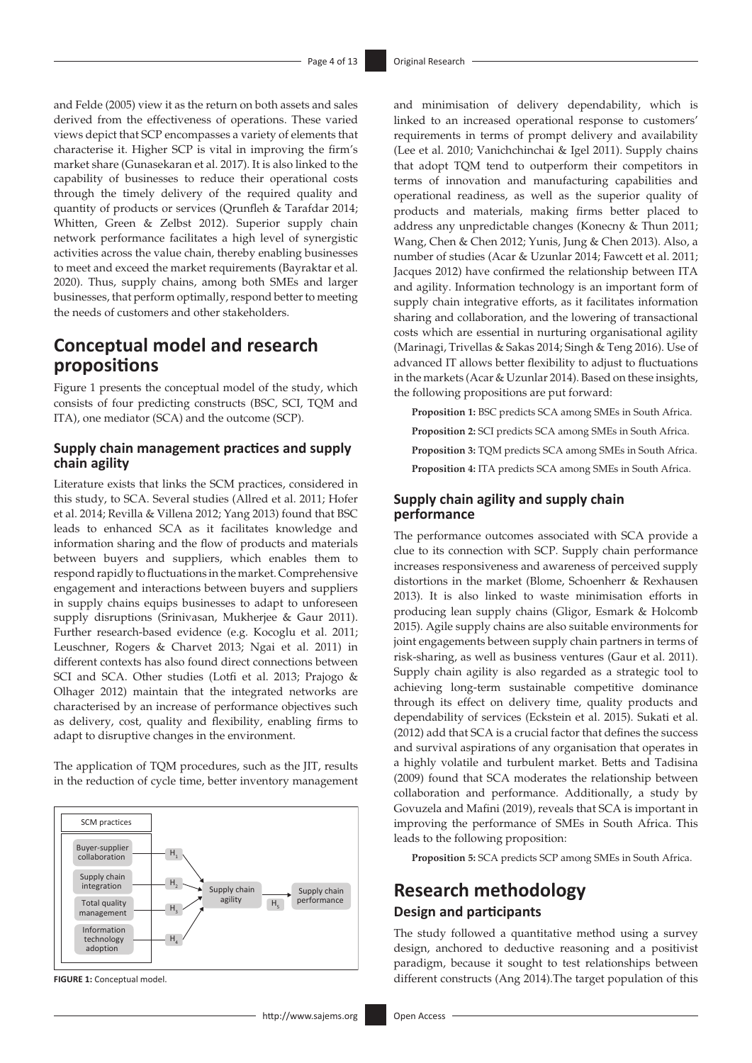and Felde (2005) view it as the return on both assets and sales derived from the effectiveness of operations. These varied views depict that SCP encompasses a variety of elements that characterise it. Higher SCP is vital in improving the firm's market share (Gunasekaran et al. 2017). It is also linked to the capability of businesses to reduce their operational costs through the timely delivery of the required quality and quantity of products or services (Qrunfleh & Tarafdar 2014; Whitten, Green & Zelbst 2012). Superior supply chain network performance facilitates a high level of synergistic activities across the value chain, thereby enabling businesses to meet and exceed the market requirements (Bayraktar et al. 2020). Thus, supply chains, among both SMEs and larger businesses, that perform optimally, respond better to meeting the needs of customers and other stakeholders.

## **Conceptual model and research propositions**

Figure 1 presents the conceptual model of the study, which consists of four predicting constructs (BSC, SCI, TQM and ITA), one mediator (SCA) and the outcome (SCP).

### **Supply chain management practices and supply chain agility**

Literature exists that links the SCM practices, considered in this study, to SCA. Several studies (Allred et al. 2011; Hofer et al. 2014; Revilla & Villena 2012; Yang 2013) found that BSC leads to enhanced SCA as it facilitates knowledge and information sharing and the flow of products and materials between buyers and suppliers, which enables them to respond rapidly to fluctuations in the market. Comprehensive engagement and interactions between buyers and suppliers in supply chains equips businesses to adapt to unforeseen supply disruptions (Srinivasan, Mukherjee & Gaur 2011). Further research-based evidence (e.g. Kocoglu et al. 2011; Leuschner, Rogers & Charvet 2013; Ngai et al. 2011) in different contexts has also found direct connections between SCI and SCA. Other studies (Lotfi et al. 2013; Prajogo & Olhager 2012) maintain that the integrated networks are characterised by an increase of performance objectives such as delivery, cost, quality and flexibility, enabling firms to adapt to disruptive changes in the environment.

The application of TQM procedures, such as the JIT, results in the reduction of cycle time, better inventory management



**FIGURE 1:** Conceptual model.

and minimisation of delivery dependability, which is linked to an increased operational response to customers' requirements in terms of prompt delivery and availability (Lee et al. 2010; Vanichchinchai & Igel 2011). Supply chains that adopt TQM tend to outperform their competitors in terms of innovation and manufacturing capabilities and operational readiness, as well as the superior quality of products and materials, making firms better placed to address any unpredictable changes (Konecny & Thun 2011; Wang, Chen & Chen 2012; Yunis, Jung & Chen 2013). Also, a number of studies (Acar & Uzunlar 2014; Fawcett et al. 2011; Jacques 2012) have confirmed the relationship between ITA and agility. Information technology is an important form of supply chain integrative efforts, as it facilitates information sharing and collaboration, and the lowering of transactional costs which are essential in nurturing organisational agility (Marinagi, Trivellas & Sakas 2014; Singh & Teng 2016). Use of advanced IT allows better flexibility to adjust to fluctuations in the markets (Acar & Uzunlar 2014). Based on these insights, the following propositions are put forward:

**Proposition 1:** BSC predicts SCA among SMEs in South Africa.

- **Proposition 2:** SCI predicts SCA among SMEs in South Africa.
- **Proposition 3:** TQM predicts SCA among SMEs in South Africa.
- **Proposition 4:** ITA predicts SCA among SMEs in South Africa.

### **Supply chain agility and supply chain performance**

The performance outcomes associated with SCA provide a clue to its connection with SCP. Supply chain performance increases responsiveness and awareness of perceived supply distortions in the market (Blome, Schoenherr & Rexhausen 2013). It is also linked to waste minimisation efforts in producing lean supply chains (Gligor, Esmark & Holcomb 2015). Agile supply chains are also suitable environments for joint engagements between supply chain partners in terms of risk-sharing, as well as business ventures (Gaur et al. 2011). Supply chain agility is also regarded as a strategic tool to achieving long-term sustainable competitive dominance through its effect on delivery time, quality products and dependability of services (Eckstein et al. 2015). Sukati et al. (2012) add that SCA is a crucial factor that defines the success and survival aspirations of any organisation that operates in a highly volatile and turbulent market. Betts and Tadisina (2009) found that SCA moderates the relationship between collaboration and performance. Additionally, a study by Govuzela and Mafini (2019), reveals that SCA is important in improving the performance of SMEs in South Africa. This leads to the following proposition:

**Proposition 5:** SCA predicts SCP among SMEs in South Africa.

# **Research methodology Design and participants**

The study followed a quantitative method using a survey design, anchored to deductive reasoning and a positivist paradigm, because it sought to test relationships between different constructs (Ang 2014).The target population of this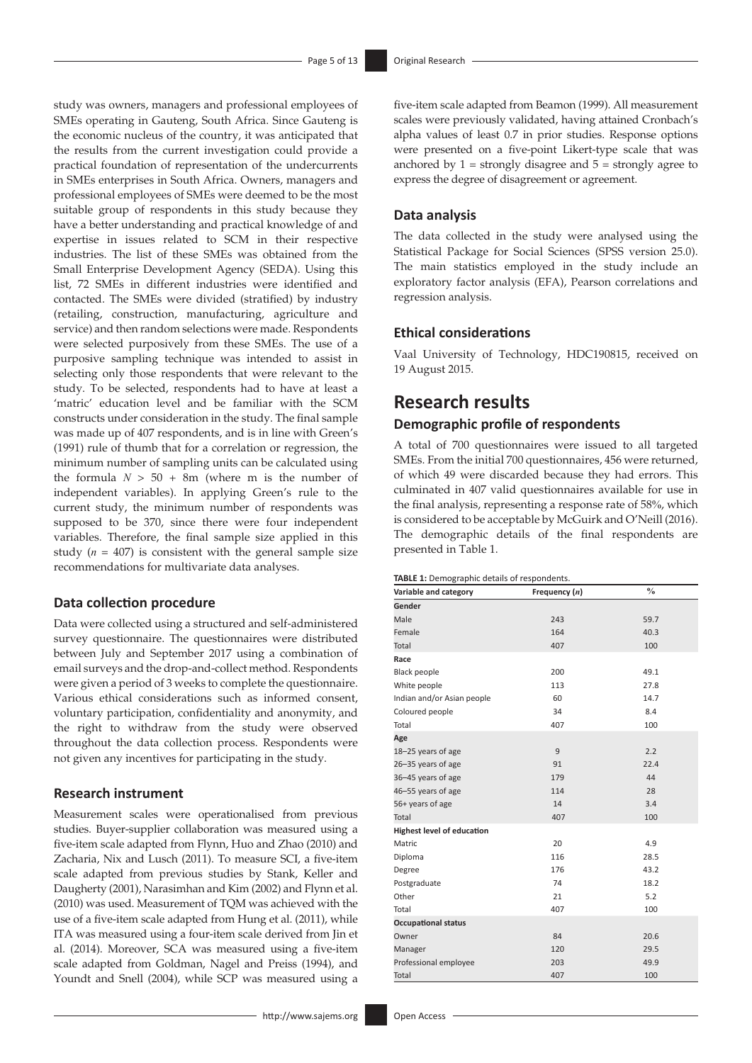study was owners, managers and professional employees of SMEs operating in Gauteng, South Africa. Since Gauteng is the economic nucleus of the country, it was anticipated that the results from the current investigation could provide a practical foundation of representation of the undercurrents in SMEs enterprises in South Africa. Owners, managers and professional employees of SMEs were deemed to be the most suitable group of respondents in this study because they have a better understanding and practical knowledge of and expertise in issues related to SCM in their respective industries. The list of these SMEs was obtained from the Small Enterprise Development Agency (SEDA). Using this list, 72 SMEs in different industries were identified and contacted. The SMEs were divided (stratified) by industry (retailing, construction, manufacturing, agriculture and service) and then random selections were made. Respondents were selected purposively from these SMEs. The use of a purposive sampling technique was intended to assist in selecting only those respondents that were relevant to the study. To be selected, respondents had to have at least a 'matric' education level and be familiar with the SCM constructs under consideration in the study. The final sample was made up of 407 respondents, and is in line with Green's (1991) rule of thumb that for a correlation or regression, the minimum number of sampling units can be calculated using the formula  $N > 50 + 8m$  (where m is the number of independent variables). In applying Green's rule to the current study, the minimum number of respondents was supposed to be 370, since there were four independent variables. Therefore, the final sample size applied in this study  $(n = 407)$  is consistent with the general sample size recommendations for multivariate data analyses.

#### **Data collection procedure**

Data were collected using a structured and self-administered survey questionnaire. The questionnaires were distributed between July and September 2017 using a combination of email surveys and the drop-and-collect method. Respondents were given a period of 3 weeks to complete the questionnaire. Various ethical considerations such as informed consent, voluntary participation, confidentiality and anonymity, and the right to withdraw from the study were observed throughout the data collection process. Respondents were not given any incentives for participating in the study.

#### **Research instrument**

Measurement scales were operationalised from previous studies. Buyer-supplier collaboration was measured using a five-item scale adapted from Flynn, Huo and Zhao (2010) and Zacharia, Nix and Lusch (2011). To measure SCI, a five-item scale adapted from previous studies by Stank, Keller and Daugherty (2001), Narasimhan and Kim (2002) and Flynn et al. (2010) was used. Measurement of TQM was achieved with the use of a five-item scale adapted from Hung et al. (2011), while ITA was measured using a four-item scale derived from Jin et al. (2014). Moreover, SCA was measured using a five-item scale adapted from Goldman, Nagel and Preiss (1994), and Youndt and Snell (2004), while SCP was measured using a five-item scale adapted from Beamon (1999). All measurement scales were previously validated, having attained Cronbach's alpha values of least 0.7 in prior studies. Response options were presented on a five-point Likert-type scale that was anchored by  $1 =$  strongly disagree and  $5 =$  strongly agree to express the degree of disagreement or agreement.

#### **Data analysis**

The data collected in the study were analysed using the Statistical Package for Social Sciences (SPSS version 25.0). The main statistics employed in the study include an exploratory factor analysis (EFA), Pearson correlations and regression analysis.

#### **Ethical considerations**

Vaal University of Technology, HDC190815, received on 19 August 2015.

# **Research results**

### **Demographic profile of respondents**

A total of 700 questionnaires were issued to all targeted SMEs. From the initial 700 questionnaires, 456 were returned, of which 49 were discarded because they had errors. This culminated in 407 valid questionnaires available for use in the final analysis, representing a response rate of 58%, which is considered to be acceptable by McGuirk and O'Neill (2016). The demographic details of the final respondents are presented in Table 1.

#### **TABLE 1:** Demographic details of respondents.

| Variable and category             | Frequency (n) | $\frac{0}{0}$ |
|-----------------------------------|---------------|---------------|
| Gender                            |               |               |
| Male                              | 243           | 59.7          |
| Female                            | 164           | 40.3          |
| Total                             | 407           | 100           |
| Race                              |               |               |
| <b>Black people</b>               | 200           | 49.1          |
| White people                      | 113           | 27.8          |
| Indian and/or Asian people        | 60            | 14.7          |
| Coloured people                   | 34            | 8.4           |
| Total                             | 407           | 100           |
| Age                               |               |               |
| 18-25 years of age                | 9             | 2.2           |
| 26-35 years of age                | 91            | 22.4          |
| 36-45 years of age                | 179           | 44            |
| 46-55 years of age                | 114           | 28            |
| 56+ years of age                  | 14            | 3.4           |
| Total                             | 407           | 100           |
| <b>Highest level of education</b> |               |               |
| Matric                            | 20            | 4.9           |
| Diploma                           | 116           | 28.5          |
| Degree                            | 176           | 43.2          |
| Postgraduate                      | 74            | 18.2          |
| Other                             | 21            | 5.2           |
| Total                             | 407           | 100           |
| <b>Occupational status</b>        |               |               |
| Owner                             | 84            | 20.6          |
| Manager                           | 120           | 29.5          |
| Professional employee             | 203           | 49.9          |
| Total                             | 407           | 100           |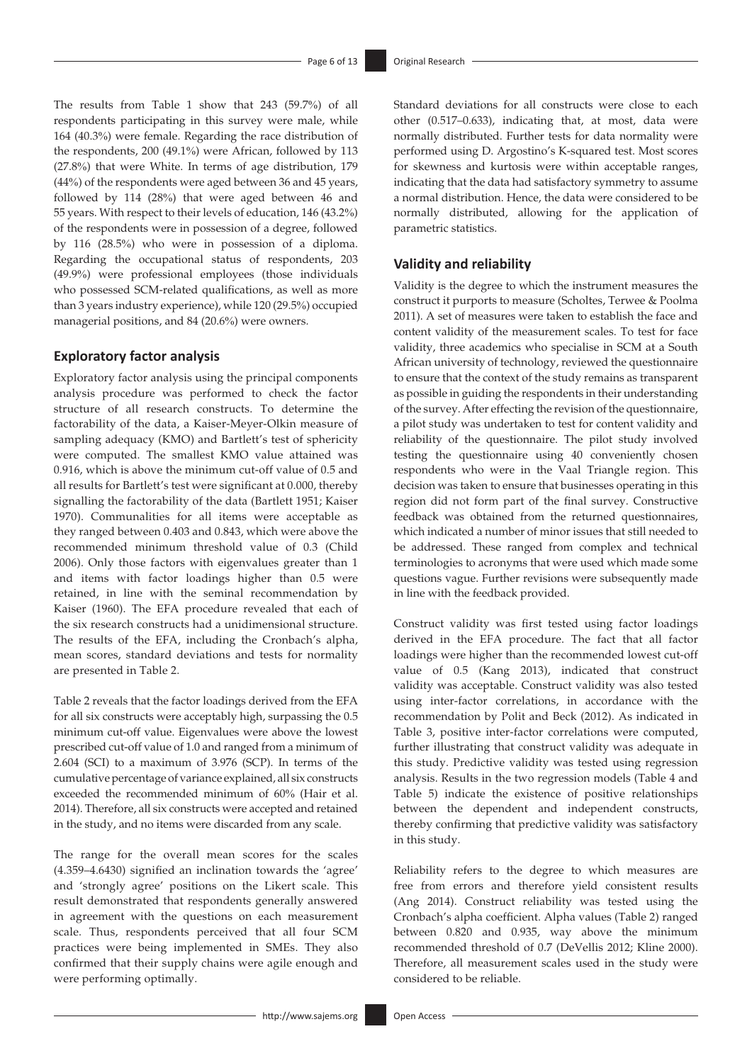The results from Table 1 show that 243 (59.7%) of all respondents participating in this survey were male, while 164 (40.3%) were female. Regarding the race distribution of the respondents, 200 (49.1%) were African, followed by 113 (27.8%) that were White. In terms of age distribution, 179 (44%) of the respondents were aged between 36 and 45 years, followed by 114 (28%) that were aged between 46 and 55 years. With respect to their levels of education, 146 (43.2%) of the respondents were in possession of a degree, followed by 116 (28.5%) who were in possession of a diploma. Regarding the occupational status of respondents, 203 (49.9%) were professional employees (those individuals who possessed SCM-related qualifications, as well as more than 3 years industry experience), while 120 (29.5%) occupied managerial positions, and 84 (20.6%) were owners.

#### **Exploratory factor analysis**

Exploratory factor analysis using the principal components analysis procedure was performed to check the factor structure of all research constructs. To determine the factorability of the data, a Kaiser-Meyer-Olkin measure of sampling adequacy (KMO) and Bartlett's test of sphericity were computed. The smallest KMO value attained was 0.916, which is above the minimum cut-off value of 0.5 and all results for Bartlett's test were significant at 0.000, thereby signalling the factorability of the data (Bartlett 1951; Kaiser 1970). Communalities for all items were acceptable as they ranged between 0.403 and 0.843, which were above the recommended minimum threshold value of 0.3 (Child 2006). Only those factors with eigenvalues greater than 1 and items with factor loadings higher than 0.5 were retained, in line with the seminal recommendation by Kaiser (1960). The EFA procedure revealed that each of the six research constructs had a unidimensional structure. The results of the EFA, including the Cronbach's alpha, mean scores, standard deviations and tests for normality are presented in Table 2.

Table 2 reveals that the factor loadings derived from the EFA for all six constructs were acceptably high, surpassing the 0.5 minimum cut-off value. Eigenvalues were above the lowest prescribed cut-off value of 1.0 and ranged from a minimum of 2.604 (SCI) to a maximum of 3.976 (SCP). In terms of the cumulative percentage of variance explained, all six constructs exceeded the recommended minimum of 60% (Hair et al. 2014). Therefore, all six constructs were accepted and retained in the study, and no items were discarded from any scale.

The range for the overall mean scores for the scales (4.359–4.6430) signified an inclination towards the 'agree' and 'strongly agree' positions on the Likert scale. This result demonstrated that respondents generally answered in agreement with the questions on each measurement scale. Thus, respondents perceived that all four SCM practices were being implemented in SMEs. They also confirmed that their supply chains were agile enough and were performing optimally.

Standard deviations for all constructs were close to each other (0.517–0.633), indicating that, at most, data were normally distributed. Further tests for data normality were performed using D. Argostino's K-squared test. Most scores for skewness and kurtosis were within acceptable ranges, indicating that the data had satisfactory symmetry to assume a normal distribution. Hence, the data were considered to be normally distributed, allowing for the application of parametric statistics.

#### **Validity and reliability**

Validity is the degree to which the instrument measures the construct it purports to measure (Scholtes, Terwee & Poolma 2011). A set of measures were taken to establish the face and content validity of the measurement scales. To test for face validity, three academics who specialise in SCM at a South African university of technology, reviewed the questionnaire to ensure that the context of the study remains as transparent as possible in guiding the respondents in their understanding of the survey. After effecting the revision of the questionnaire, a pilot study was undertaken to test for content validity and reliability of the questionnaire. The pilot study involved testing the questionnaire using 40 conveniently chosen respondents who were in the Vaal Triangle region. This decision was taken to ensure that businesses operating in this region did not form part of the final survey. Constructive feedback was obtained from the returned questionnaires, which indicated a number of minor issues that still needed to be addressed. These ranged from complex and technical terminologies to acronyms that were used which made some questions vague. Further revisions were subsequently made in line with the feedback provided.

Construct validity was first tested using factor loadings derived in the EFA procedure. The fact that all factor loadings were higher than the recommended lowest cut-off value of 0.5 (Kang 2013), indicated that construct validity was acceptable. Construct validity was also tested using inter-factor correlations, in accordance with the recommendation by Polit and Beck (2012). As indicated in Table 3, positive inter-factor correlations were computed, further illustrating that construct validity was adequate in this study. Predictive validity was tested using regression analysis. Results in the two regression models (Table 4 and Table 5) indicate the existence of positive relationships between the dependent and independent constructs, thereby confirming that predictive validity was satisfactory in this study.

Reliability refers to the degree to which measures are free from errors and therefore yield consistent results (Ang 2014). Construct reliability was tested using the Cronbach's alpha coefficient. Alpha values (Table 2) ranged between 0.820 and 0.935, way above the minimum recommended threshold of 0.7 (DeVellis 2012; Kline 2000). Therefore, all measurement scales used in the study were considered to be reliable.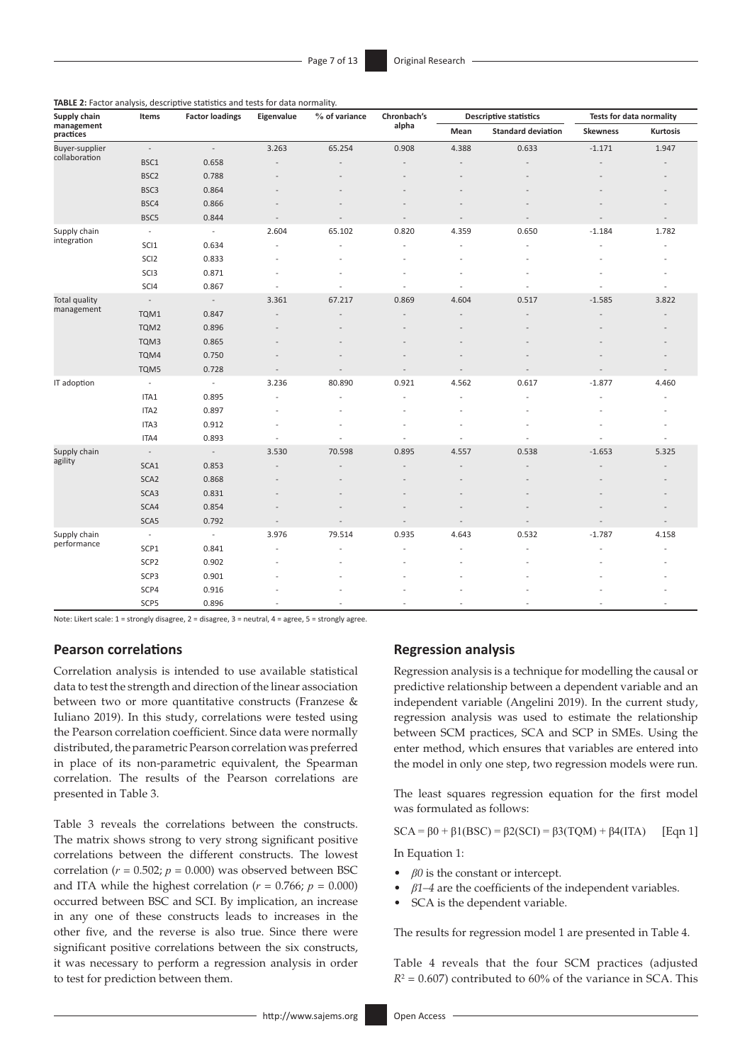| Supply chain            | Items                    | <b>Factor loadings</b>   | Eigenvalue | % of variance  | Chronbach's<br>alpha | <b>Descriptive statistics</b> |                           | Tests for data normality |                          |
|-------------------------|--------------------------|--------------------------|------------|----------------|----------------------|-------------------------------|---------------------------|--------------------------|--------------------------|
| management<br>practices |                          |                          |            |                |                      | Mean                          | <b>Standard deviation</b> | <b>Skewness</b>          | Kurtosis                 |
| Buyer-supplier          | $\sim$                   | $\overline{\phantom{a}}$ | 3.263      | 65.254         | 0.908                | 4.388                         | 0.633                     | $-1.171$                 | 1.947                    |
| collaboration           | BSC1                     | 0.658                    |            |                |                      |                               |                           |                          |                          |
|                         | BSC <sub>2</sub>         | 0.788                    |            |                |                      |                               |                           |                          |                          |
|                         | BSC3                     | 0.864                    |            |                |                      |                               |                           |                          |                          |
|                         | BSC4                     | 0.866                    |            |                |                      |                               |                           |                          |                          |
|                         | BSC5                     | 0.844                    |            | $\overline{a}$ |                      | $\overline{a}$                | $\overline{a}$            | $\overline{a}$           | $\overline{a}$           |
| Supply chain            | $\overline{\phantom{a}}$ | $\overline{\phantom{a}}$ | 2.604      | 65.102         | 0.820                | 4.359                         | 0.650                     | $-1.184$                 | 1.782                    |
| integration             | SCI <sub>1</sub>         | 0.634                    |            |                |                      |                               |                           |                          |                          |
|                         | SCI <sub>2</sub>         | 0.833                    |            |                |                      |                               |                           |                          |                          |
|                         | SCI3                     | 0.871                    |            |                |                      |                               |                           |                          |                          |
|                         | SCI4                     | 0.867                    |            |                |                      | L,                            |                           |                          | $\overline{\phantom{a}}$ |
| <b>Total quality</b>    | $\overline{\phantom{a}}$ | $\overline{\phantom{a}}$ | 3.361      | 67.217         | 0.869                | 4.604                         | 0.517                     | $-1.585$                 | 3.822                    |
| management              | TQM1                     | 0.847                    |            |                |                      |                               |                           |                          |                          |
|                         | TQM2                     | 0.896                    |            |                |                      |                               |                           |                          |                          |
|                         | TQM3                     | 0.865                    |            |                |                      |                               |                           |                          |                          |
|                         | TQM4                     | 0.750                    |            |                |                      |                               |                           |                          |                          |
|                         | TQM5                     | 0.728                    |            |                |                      | L,                            |                           |                          | $\overline{a}$           |
| IT adoption             | $\overline{\phantom{a}}$ | $\overline{\phantom{a}}$ | 3.236      | 80.890         | 0.921                | 4.562                         | 0.617                     | $-1.877$                 | 4.460                    |
|                         | ITA1                     | 0.895                    |            | ÷              |                      | $\overline{a}$                |                           | $\overline{a}$           |                          |
|                         | ITA2                     | 0.897                    |            |                |                      |                               |                           |                          |                          |
|                         | ITA3                     | 0.912                    |            |                |                      |                               |                           |                          |                          |
|                         | ITA4                     | 0.893                    |            |                |                      |                               |                           |                          |                          |
| Supply chain            | $\overline{\phantom{a}}$ | $\overline{\phantom{a}}$ | 3.530      | 70.598         | 0.895                | 4.557                         | 0.538                     | $-1.653$                 | 5.325                    |
| agility                 | SCA1                     | 0.853                    |            |                |                      |                               |                           |                          |                          |
|                         | SCA <sub>2</sub>         | 0.868                    |            |                |                      |                               |                           |                          |                          |
|                         | SCA3                     | 0.831                    |            |                |                      |                               |                           |                          |                          |
|                         | SCA4                     | 0.854                    |            |                |                      |                               |                           |                          |                          |
|                         | SCA5                     | 0.792                    | $\sim$     | $\overline{a}$ |                      | $\overline{a}$                |                           | $\overline{a}$           | $\overline{a}$           |
| Supply chain            | $\overline{\phantom{a}}$ | $\overline{\phantom{a}}$ | 3.976      | 79.514         | 0.935                | 4.643                         | 0.532                     | $-1.787$                 | 4.158                    |
| performance             | SCP1                     | 0.841                    |            |                |                      |                               |                           |                          |                          |
|                         | SCP <sub>2</sub>         | 0.902                    |            |                |                      |                               |                           |                          |                          |
|                         | SCP3                     | 0.901                    |            |                |                      |                               |                           |                          |                          |
|                         | SCP4                     | 0.916                    |            |                |                      |                               |                           |                          |                          |
|                         | SCP5                     | 0.896                    |            | ٠              |                      | ٠                             | ٠                         | $\overline{\phantom{a}}$ | $\overline{\phantom{a}}$ |

**TABLE 2:** Factor analysis, descriptive statistics and tests for data normality.

Note: Likert scale: 1 = strongly disagree, 2 = disagree, 3 = neutral, 4 = agree, 5 = strongly agree.

#### **Pearson correlations**

Correlation analysis is intended to use available statistical data to test the strength and direction of the linear association between two or more quantitative constructs (Franzese & Iuliano 2019). In this study, correlations were tested using the Pearson correlation coefficient. Since data were normally distributed, the parametric Pearson correlation was preferred in place of its non-parametric equivalent, the Spearman correlation. The results of the Pearson correlations are presented in Table 3.

Table 3 reveals the correlations between the constructs. The matrix shows strong to very strong significant positive correlations between the different constructs. The lowest correlation ( $r = 0.502$ ;  $p = 0.000$ ) was observed between BSC and ITA while the highest correlation ( $r = 0.766$ ;  $p = 0.000$ ) occurred between BSC and SCI. By implication, an increase in any one of these constructs leads to increases in the other five, and the reverse is also true. Since there were significant positive correlations between the six constructs, it was necessary to perform a regression analysis in order to test for prediction between them.

#### **Regression analysis**

Regression analysis is a technique for modelling the causal or predictive relationship between a dependent variable and an independent variable (Angelini 2019). In the current study, regression analysis was used to estimate the relationship between SCM practices, SCA and SCP in SMEs. Using the enter method, which ensures that variables are entered into the model in only one step, two regression models were run.

The least squares regression equation for the first model was formulated as follows:

$$
SCA = \beta 0 + \beta 1(BSC) = \beta 2(SCI) = \beta 3(TQM) + \beta 4(TTA)
$$
 [Eqn 1]

In Equation 1:

- *β0* is the constant or intercept.
- *β1–4* are the coefficients of the independent variables.
- SCA is the dependent variable.

The results for regression model 1 are presented in Table 4.

Table 4 reveals that the four SCM practices (adjusted  $R^2$  = 0.607) contributed to 60% of the variance in SCA. This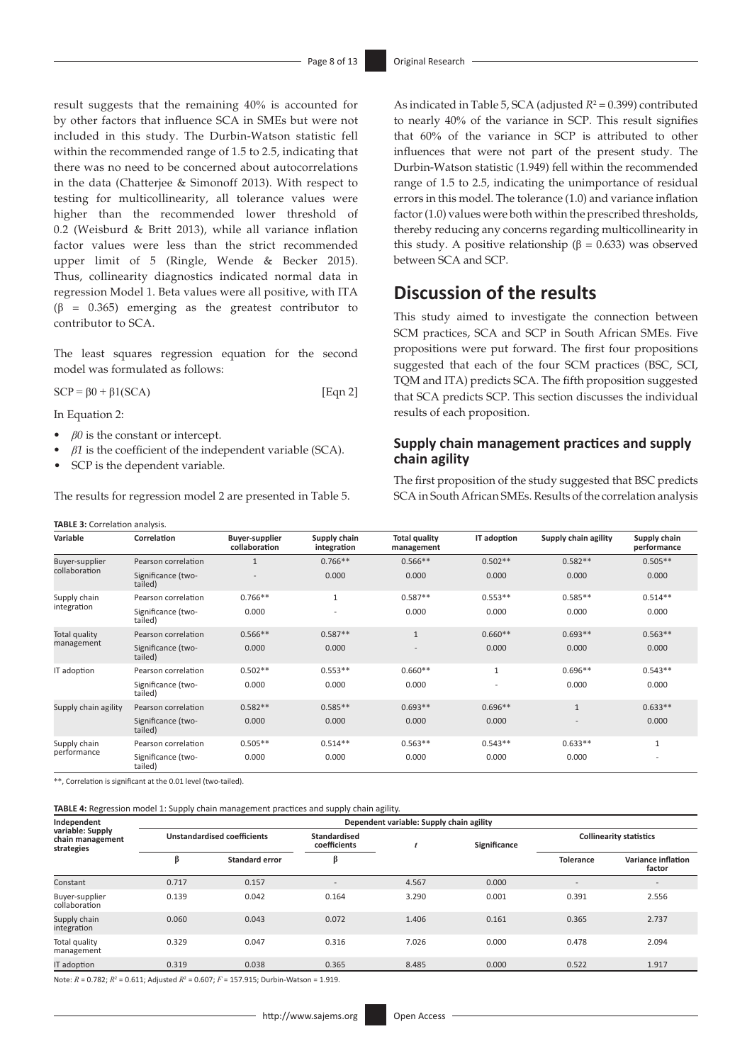result suggests that the remaining 40% is accounted for by other factors that influence SCA in SMEs but were not included in this study. The Durbin-Watson statistic fell within the recommended range of 1.5 to 2.5, indicating that there was no need to be concerned about autocorrelations in the data (Chatterjee & Simonoff 2013). With respect to testing for multicollinearity, all tolerance values were higher than the recommended lower threshold of 0.2 (Weisburd & Britt 2013), while all variance inflation factor values were less than the strict recommended upper limit of 5 (Ringle, Wende & Becker 2015). Thus, collinearity diagnostics indicated normal data in regression Model 1. Beta values were all positive, with ITA (β = 0.365) emerging as the greatest contributor to contributor to SCA.

The least squares regression equation for the second model was formulated as follows:

 $SCP = \beta 0 + \beta 1 (SCA)$  [Eqn 2]

**TABLE 3:** Correlation analysis

In Equation 2:

- $\beta$ <sup>0</sup> is the constant or intercept.
- *• β1* is the coefficient of the independent variable (SCA).
- SCP is the dependent variable.

The results for regression model 2 are presented in Table 5.

As indicated in Table 5, SCA (adjusted  $R^2 = 0.399$ ) contributed to nearly 40% of the variance in SCP. This result signifies that 60% of the variance in SCP is attributed to other influences that were not part of the present study. The Durbin-Watson statistic (1.949) fell within the recommended range of 1.5 to 2.5, indicating the unimportance of residual errors in this model. The tolerance (1.0) and variance inflation factor (1.0) values were both within the prescribed thresholds, thereby reducing any concerns regarding multicollinearity in this study. A positive relationship (β = 0.633) was observed between SCA and SCP.

### **Discussion of the results**

This study aimed to investigate the connection between SCM practices, SCA and SCP in South African SMEs. Five propositions were put forward. The first four propositions suggested that each of the four SCM practices (BSC, SCI, TQM and ITA) predicts SCA. The fifth proposition suggested that SCA predicts SCP. This section discusses the individual results of each proposition.

### **Supply chain management practices and supply chain agility**

The first proposition of the study suggested that BSC predicts SCA in South African SMEs. Results of the correlation analysis

| $= 0.0011$ cration and point |                               |                                        |                             |                                    |                          |                      |                             |
|------------------------------|-------------------------------|----------------------------------------|-----------------------------|------------------------------------|--------------------------|----------------------|-----------------------------|
| Variable                     | Correlation                   | <b>Buyer-supplier</b><br>collaboration | Supply chain<br>integration | <b>Total quality</b><br>management | IT adoption              | Supply chain agility | Supply chain<br>performance |
| Buyer-supplier               | Pearson correlation           | $\mathbf{1}$                           | $0.766**$                   | $0.566**$                          | $0.502**$                | $0.582**$            | $0.505**$                   |
| collaboration                | Significance (two-<br>tailed) |                                        | 0.000                       | 0.000                              | 0.000                    | 0.000                | 0.000                       |
| Supply chain                 | Pearson correlation           | $0.766**$                              | $\mathbf{1}$                | $0.587**$                          | $0.553**$                | $0.585**$            | $0.514**$                   |
| integration                  | Significance (two-<br>tailed) | 0.000                                  | ٠                           | 0.000                              | 0.000                    | 0.000                | 0.000                       |
| Total quality                | Pearson correlation           | $0.566**$                              | $0.587**$                   | $\mathbf{1}$                       | $0.660**$                | $0.693**$            | $0.563**$                   |
| management                   | Significance (two-<br>tailed) | 0.000                                  | 0.000                       | $\sim$                             | 0.000                    | 0.000                | 0.000                       |
| IT adoption                  | Pearson correlation           | $0.502**$                              | $0.553**$                   | $0.660**$                          | $\mathbf{1}$             | $0.696**$            | $0.543**$                   |
|                              | Significance (two-<br>tailed) | 0.000                                  | 0.000                       | 0.000                              | $\overline{\phantom{a}}$ | 0.000                | 0.000                       |
| Supply chain agility         | Pearson correlation           | $0.582**$                              | $0.585**$                   | $0.693**$                          | $0.696**$                | $\mathbf{1}$         | $0.633**$                   |
|                              | Significance (two-<br>tailed) | 0.000                                  | 0.000                       | 0.000                              | 0.000                    | ÷                    | 0.000                       |
| Supply chain                 | Pearson correlation           | $0.505**$                              | $0.514**$                   | $0.563**$                          | $0.543**$                | $0.633**$            | 1                           |
| performance                  | Significance (two-<br>tailed) | 0.000                                  | 0.000                       | 0.000                              | 0.000                    | 0.000                |                             |

\*\*, Correlation is significant at the 0.01 level (two-tailed).

**TABLE 4:** Regression model 1: Supply chain management practices and supply chain agility.

| Independent<br>variable: Supply<br>chain management<br>strategies | Dependent variable: Supply chain agility |                       |                              |       |              |                                |                                     |  |
|-------------------------------------------------------------------|------------------------------------------|-----------------------|------------------------------|-------|--------------|--------------------------------|-------------------------------------|--|
|                                                                   | <b>Unstandardised coefficients</b>       |                       | Standardised<br>coefficients |       | Significance | <b>Collinearity statistics</b> |                                     |  |
|                                                                   | Þ                                        | <b>Standard error</b> | β                            |       |              | <b>Tolerance</b>               | <b>Variance inflation</b><br>factor |  |
| Constant                                                          | 0.717                                    | 0.157                 | $\sim$                       | 4.567 | 0.000        | $\overline{\phantom{0}}$       | $\overline{\phantom{a}}$            |  |
| Buyer-supplier<br>collaboration                                   | 0.139                                    | 0.042                 | 0.164                        | 3.290 | 0.001        | 0.391                          | 2.556                               |  |
| Supply chain<br>integration                                       | 0.060                                    | 0.043                 | 0.072                        | 1.406 | 0.161        | 0.365                          | 2.737                               |  |
| Total quality<br>management                                       | 0.329                                    | 0.047                 | 0.316                        | 7.026 | 0.000        | 0.478                          | 2.094                               |  |
| IT adoption                                                       | 0.319                                    | 0.038                 | 0.365                        | 8.485 | 0.000        | 0.522                          | 1.917                               |  |

Note:  $R = 0.782$ ;  $R^2 = 0.611$ ; Adjusted  $R^2 = 0.607$ ;  $F = 157.915$ ; Durbin-Watson = 1.919.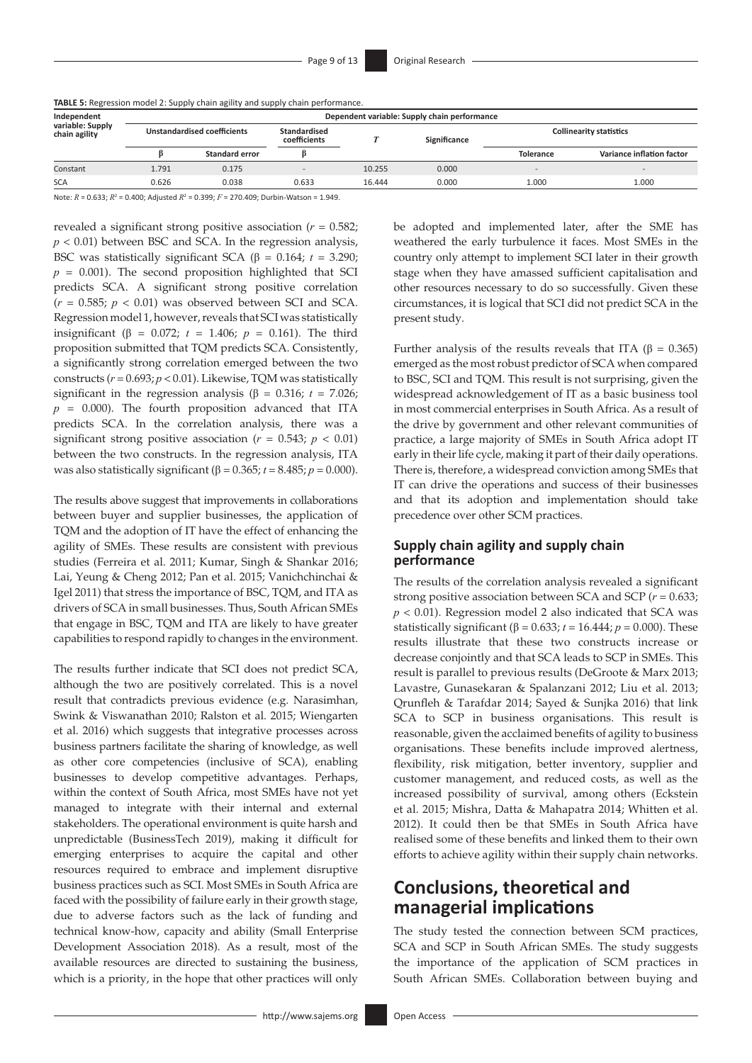| TABLE 5: Regression model 2: Supply chain agility and supply chain performance. |  |  |  |  |
|---------------------------------------------------------------------------------|--|--|--|--|
|---------------------------------------------------------------------------------|--|--|--|--|

| Independent<br>variable: Supply<br>chain agility |       | Dependent variable: Supply chain performance |       |        |              |                          |                                |  |  |  |
|--------------------------------------------------|-------|----------------------------------------------|-------|--------|--------------|--------------------------|--------------------------------|--|--|--|
|                                                  |       | <b>Unstandardised coefficients</b>           |       |        | Significance |                          | <b>Collinearity statistics</b> |  |  |  |
|                                                  |       | <b>Standard error</b>                        |       |        |              | <b>Tolerance</b>         | Variance inflation factor      |  |  |  |
| Constant                                         | 1.791 | 0.175                                        |       | 10.255 | 0.000        | $\overline{\phantom{a}}$ | $\overline{\phantom{a}}$       |  |  |  |
| <b>SCA</b>                                       | 0.626 | 0.038                                        | 0.633 | 16.444 | 0.000        | 1.000                    | 1.000                          |  |  |  |

Note:  $R = 0.633$ ;  $R^2 = 0.400$ ; Adjusted  $R^2 = 0.399$ ;  $F = 270.409$ ; Durbin-Watson = 1.949.

revealed a significant strong positive association (*r* = 0.582; *p* < 0.01) between BSC and SCA. In the regression analysis, BSC was statistically significant SCA (β = 0.164;  $t = 3.290$ ;  $p = 0.001$ ). The second proposition highlighted that SCI predicts SCA. A significant strong positive correlation  $(r = 0.585; p < 0.01)$  was observed between SCI and SCA. Regression model 1, however, reveals that SCI was statistically insignificant (β = 0.072;  $t = 1.406$ ;  $p = 0.161$ ). The third proposition submitted that TQM predicts SCA. Consistently, a significantly strong correlation emerged between the two constructs (*r* = 0.693; *p* < 0.01). Likewise, TQM was statistically significant in the regression analysis ( $\beta$  = 0.316; *t* = 7.026; *p* = 0.000). The fourth proposition advanced that ITA predicts SCA. In the correlation analysis, there was a significant strong positive association ( $r = 0.543$ ;  $p < 0.01$ ) between the two constructs. In the regression analysis, ITA was also statistically significant ( $β = 0.365; t = 8.485; p = 0.000$ ).

The results above suggest that improvements in collaborations between buyer and supplier businesses, the application of TQM and the adoption of IT have the effect of enhancing the agility of SMEs. These results are consistent with previous studies (Ferreira et al. 2011; Kumar, Singh & Shankar 2016; Lai, Yeung & Cheng 2012; Pan et al. 2015; Vanichchinchai & Igel 2011) that stress the importance of BSC, TQM, and ITA as drivers of SCA in small businesses. Thus, South African SMEs that engage in BSC, TQM and ITA are likely to have greater capabilities to respond rapidly to changes in the environment.

The results further indicate that SCI does not predict SCA, although the two are positively correlated. This is a novel result that contradicts previous evidence (e.g. Narasimhan, Swink & Viswanathan 2010; Ralston et al. 2015; Wiengarten et al. 2016) which suggests that integrative processes across business partners facilitate the sharing of knowledge, as well as other core competencies (inclusive of SCA), enabling businesses to develop competitive advantages. Perhaps, within the context of South Africa, most SMEs have not yet managed to integrate with their internal and external stakeholders. The operational environment is quite harsh and unpredictable (BusinessTech 2019), making it difficult for emerging enterprises to acquire the capital and other resources required to embrace and implement disruptive business practices such as SCI. Most SMEs in South Africa are faced with the possibility of failure early in their growth stage, due to adverse factors such as the lack of funding and technical know-how, capacity and ability (Small Enterprise Development Association 2018). As a result, most of the available resources are directed to sustaining the business, which is a priority, in the hope that other practices will only be adopted and implemented later, after the SME has weathered the early turbulence it faces. Most SMEs in the country only attempt to implement SCI later in their growth stage when they have amassed sufficient capitalisation and other resources necessary to do so successfully. Given these circumstances, it is logical that SCI did not predict SCA in the present study.

Further analysis of the results reveals that ITA (β = 0.365) emerged as the most robust predictor of SCA when compared to BSC, SCI and TQM. This result is not surprising, given the widespread acknowledgement of IT as a basic business tool in most commercial enterprises in South Africa. As a result of the drive by government and other relevant communities of practice, a large majority of SMEs in South Africa adopt IT early in their life cycle, making it part of their daily operations. There is, therefore, a widespread conviction among SMEs that IT can drive the operations and success of their businesses and that its adoption and implementation should take precedence over other SCM practices.

### **Supply chain agility and supply chain performance**

The results of the correlation analysis revealed a significant strong positive association between SCA and SCP (*r* = 0.633; *p* < 0.01). Regression model 2 also indicated that SCA was statistically significant ( $\beta$  = 0.633;  $t$  = 16.444;  $p$  = 0.000). These results illustrate that these two constructs increase or decrease conjointly and that SCA leads to SCP in SMEs. This result is parallel to previous results (DeGroote & Marx 2013; Lavastre, Gunasekaran & Spalanzani 2012; Liu et al. 2013; Qrunfleh & Tarafdar 2014; Sayed & Sunjka 2016) that link SCA to SCP in business organisations. This result is reasonable, given the acclaimed benefits of agility to business organisations. These benefits include improved alertness, flexibility, risk mitigation, better inventory, supplier and customer management, and reduced costs, as well as the increased possibility of survival, among others (Eckstein et al. 2015; Mishra, Datta & Mahapatra 2014; Whitten et al. 2012). It could then be that SMEs in South Africa have realised some of these benefits and linked them to their own efforts to achieve agility within their supply chain networks.

# **Conclusions, theoretical and managerial implications**

The study tested the connection between SCM practices, SCA and SCP in South African SMEs. The study suggests the importance of the application of SCM practices in South African SMEs. Collaboration between buying and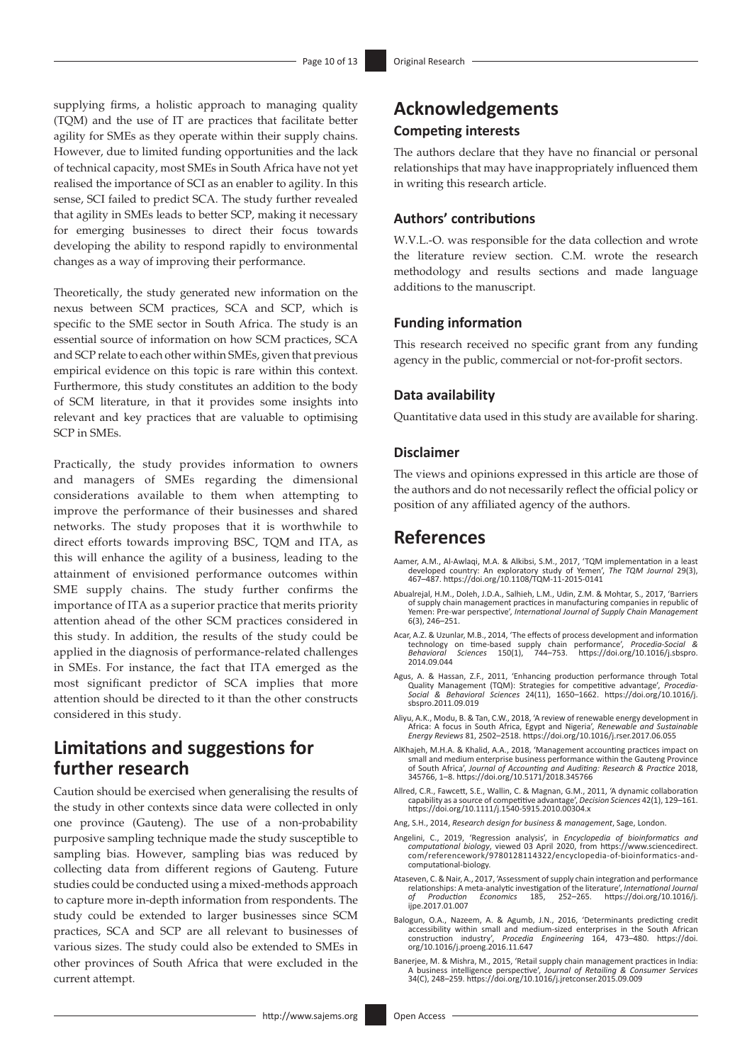supplying firms, a holistic approach to managing quality (TQM) and the use of IT are practices that facilitate better agility for SMEs as they operate within their supply chains. However, due to limited funding opportunities and the lack of technical capacity, most SMEs in South Africa have not yet realised the importance of SCI as an enabler to agility. In this sense, SCI failed to predict SCA. The study further revealed that agility in SMEs leads to better SCP, making it necessary for emerging businesses to direct their focus towards developing the ability to respond rapidly to environmental changes as a way of improving their performance.

Theoretically, the study generated new information on the nexus between SCM practices, SCA and SCP, which is specific to the SME sector in South Africa. The study is an essential source of information on how SCM practices, SCA and SCP relate to each other within SMEs, given that previous empirical evidence on this topic is rare within this context. Furthermore, this study constitutes an addition to the body of SCM literature, in that it provides some insights into relevant and key practices that are valuable to optimising SCP in SMEs.

Practically, the study provides information to owners and managers of SMEs regarding the dimensional considerations available to them when attempting to improve the performance of their businesses and shared networks. The study proposes that it is worthwhile to direct efforts towards improving BSC, TQM and ITA, as this will enhance the agility of a business, leading to the attainment of envisioned performance outcomes within SME supply chains. The study further confirms the importance of ITA as a superior practice that merits priority attention ahead of the other SCM practices considered in this study. In addition, the results of the study could be applied in the diagnosis of performance-related challenges in SMEs. For instance, the fact that ITA emerged as the most significant predictor of SCA implies that more attention should be directed to it than the other constructs considered in this study.

### **Limitations and suggestions for further research**

Caution should be exercised when generalising the results of the study in other contexts since data were collected in only one province (Gauteng). The use of a non-probability purposive sampling technique made the study susceptible to sampling bias. However, sampling bias was reduced by collecting data from different regions of Gauteng. Future studies could be conducted using a mixed-methods approach to capture more in-depth information from respondents. The study could be extended to larger businesses since SCM practices, SCA and SCP are all relevant to businesses of various sizes. The study could also be extended to SMEs in other provinces of South Africa that were excluded in the current attempt.

### **Acknowledgements Competing interests**

The authors declare that they have no financial or personal relationships that may have inappropriately influenced them in writing this research article.

#### **Authors' contributions**

W.V.L.-O. was responsible for the data collection and wrote the literature review section. C.M. wrote the research methodology and results sections and made language additions to the manuscript.

#### **Funding information**

This research received no specific grant from any funding agency in the public, commercial or not-for-profit sectors.

#### **Data availability**

Quantitative data used in this study are available for sharing.

#### **Disclaimer**

The views and opinions expressed in this article are those of the authors and do not necessarily reflect the official policy or position of any affiliated agency of the authors.

### **References**

- Aamer, A.M., Al-Awlagi, M.A. & Alkibsi, S.M., 2017, 'TOM implementation in a least developed country: An exploratory study of Yemen', *The TQM Journal* 29(3), 467–487.<https://doi.org/10.1108/TQM-11-2015-0141>
- Abualrejal, H.M., Doleh, J.D.A., Salhieh, L.M., Udin, Z.M. & Mohtar, S., 2017, 'Barriers of supply chain management practices in manufacturing companies in republic of Yemen: Pre-war perspective', *International Journal of Supply Chain Management* 6(3), 246–251.
- Acar, A.Z. & Uzunlar, M.B., 2014, 'The effects of process development and information technology on time-based supply chain performance', *Procedia-Social & Behavioral Sciences* 150(1), 744–753. [https://doi.org/10.1016/j.sbspro.](https://doi.org/10.1016/j.sbspro.2014.09.044) [2014.09.044](https://doi.org/10.1016/j.sbspro.2014.09.044)
- Agus, A. & Hassan, Z.F., 2011, 'Enhancing production performance through Total Quality Management (TQM): Strategies for competitive advantage', *Procedia-Social & Behavioral Sciences* 24(11), 1650–1662. [https://doi.org/10.1016/j.](https://doi.org/10.1016/j.sbspro.2011.09.019) [sbspro.2011.09.019](https://doi.org/10.1016/j.sbspro.2011.09.019)
- Aliyu, A.K., Modu, B. & Tan, C.W., 2018, 'A review of renewable energy development in Africa: A focus in South Africa, Egypt and Nigeria', *Renewable and Sustainable Energy Reviews* 81, 2502–2518.<https://doi.org/10.1016/j.rser.2017.06.055>
- AlKhajeh, M.H.A. & Khalid, A.A., 2018, 'Management accounting practices impact on small and medium enterprise business performance within the Gauteng Province of South Africa', *Journal of Accounting and Auditing: Research & Practice* 2018, 345766, 1–8. <https://doi.org/10.5171/2018.345766>
- Allred, C.R., Fawcett, S.E., Wallin, C. & Magnan, G.M., 2011, 'A dynamic collaboration capability as a source of competitive advantage', *Decision Sciences* 42(1), 129–161. <https://doi.org/10.1111/j.1540-5915.2010.00304.x>
- Ang, S.H., 2014, *Research design for business & management*, Sage, London.
- Angelini, C., 2019, 'Regression analysis', in *Encyclopedia of bioinformatics and computational biology*, viewed 03 April 2020, from [https://www.sciencedirect.](https://www.sciencedirect.com/referencework/9780128114322/encyclopedia-of-bioinformatics-and-computational-biology) [com/referencework/9780128114322/encyclopedia-of-bioinformatics-and](https://www.sciencedirect.com/referencework/9780128114322/encyclopedia-of-bioinformatics-and-computational-biology)[computational-biology.](https://www.sciencedirect.com/referencework/9780128114322/encyclopedia-of-bioinformatics-and-computational-biology)
- Ataseven, C. & Nair, A., 2017, 'Assessment of supply chain integration and performance relationships: A meta-analytic investigation of the literature', *International Journal of Production Economics* 185, 252–265. [https://doi.org/10.1016/j.](https://doi.org/10.1016/j.ijpe.2017.01.007) [ijpe.2017.01.007](https://doi.org/10.1016/j.ijpe.2017.01.007)
- Balogun, O.A., Nazeem, A. & Agumb, J.N., 2016, 'Determinants predicting credit accessibility within small and medium-sized enterprises in the South African construction industry', *Procedia Engineering* 164, 473–480. [https://doi.](https://doi.org/10.1016/j.proeng.2016.11.647) [org/10.1016/j.proeng.2016.11.647](https://doi.org/10.1016/j.proeng.2016.11.647)
- Banerjee, M. & Mishra, M., 2015, 'Retail supply chain management practices in India: A business intelligence perspective', *Journal of Retailing & Consumer Services* 34(C), 248–259. <https://doi.org/10.1016/j.jretconser.2015.09.009>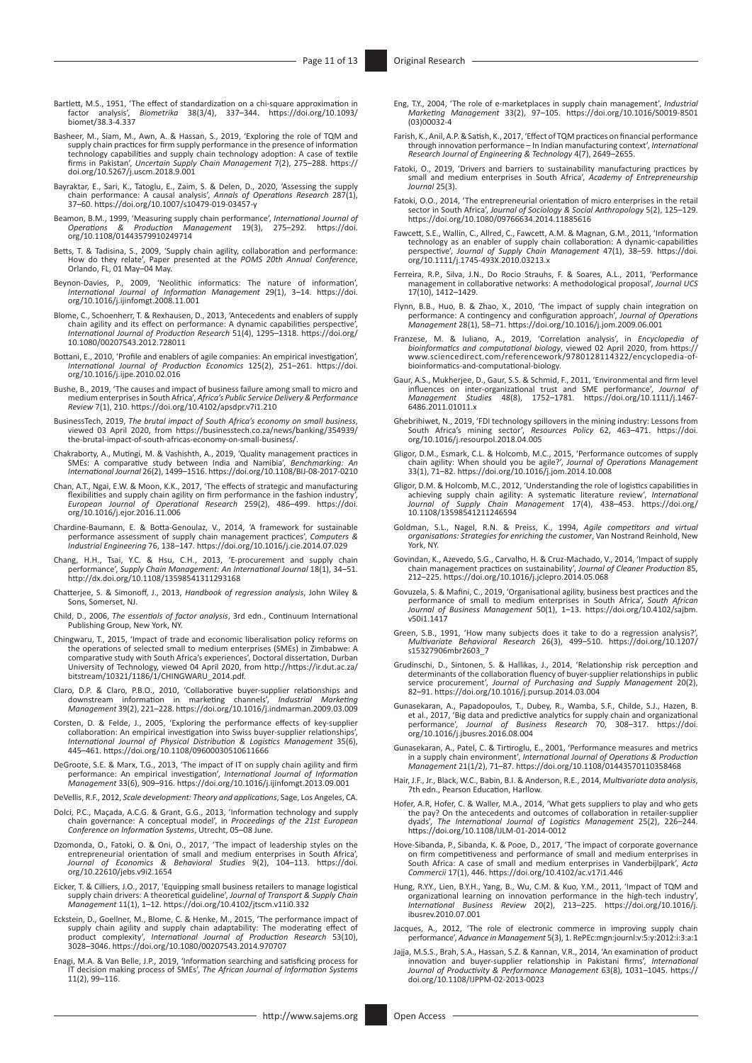- Bartlett, M.S., 1951, 'The effect of standardization on a chi-square approximation in factor analysis', *Biometrika* 38(3/4), 337–344. [https://doi.org/10.1093/](https://doi.org/10.1093/biomet/38.3-4.337) [biomet/38.3-4.337](https://doi.org/10.1093/biomet/38.3-4.337)
- Basheer, M., Siam, M., Awn, A. & Hassan, S., 2019, 'Exploring the role of TQM and supply chain practices for firm supply performance in the presence of information technology capabilities and supply chain technology adoption: A case of textile firms in Pakistan', *Uncertain Supply Chain Management* 7(2), 275–288. [https://](https://doi.org/10.5267/j.uscm.2018.9.001) [doi.org/10.5267/j.uscm.2018.9.001](https://doi.org/10.5267/j.uscm.2018.9.001)
- Bayraktar, E., Sari, K., Tatoglu, E., Zaim, S. & Delen, D., 2020, 'Assessing the supply chain performance: A causal analysis', *Annals of Operations Research* 287(1), 37–60. <https://doi.org/10.1007/s10479-019-03457-y>
- Beamon, B.M., 1999, 'Measuring supply chain performance', *International Journal of Operations & Production Management* 19(3), 275–292. [https://doi.](https://doi.org/10.1108/01443579910249714) [org/10.1108/01443579910249714](https://doi.org/10.1108/01443579910249714)
- Betts, T. & Tadisina, S., 2009, 'Supply chain agility, collaboration and performance:<br>How do they relate', Paper presented at the *POMS 20th Annual Conference*,<br>Orlando, FL, 01 May–04 May.
- Beynon-Davies, P., 2009, 'Neolithic informatics: The nature of information', *International Journal of Information Management* 29(1), 3–14. [https://doi.](https://doi.org/10.1016/j.ijinfomgt.2008.11.001) [org/10.1016/j.ijinfomgt.2008.11.001](https://doi.org/10.1016/j.ijinfomgt.2008.11.001)
- Blome, C., Schoenherr, T. & Rexhausen, D., 2013, 'Antecedents and enablers of supply<br>chain agility and its effect on performance: A dynamic capabilities perspective',<br>International Journal of Production Research 51(4), 129 [10.1080/00207543.2012.728011](https://doi.org/10.1080/00207543.2012.728011)
- Bottani, E., 2010, 'Profile and enablers of agile companies: An empirical investigation', *International Journal of Production Economics* 125(2), 251–261. [https://doi.](https://doi.org/10.1016/j.ijpe.2010.02.016) [org/10.1016/j.ijpe.2010.02.016](https://doi.org/10.1016/j.ijpe.2010.02.016)
- Bushe, B., 2019, 'The causes and impact of business failure among small to micro and medium enterprises in South Africa', *Africa's Public Service Delivery & Performance Review* 7(1), 210.<https://doi.org/10.4102/apsdpr.v7i1.210>
- BusinessTech, 2019, *The brutal impact of South Africa's economy on small business*, viewed 03 April 2020, from [https://businesstech.co.za/news/banking/354939/](https://businesstech.co.za/news/banking/354939/the-brutal-impact-of-south-africas-economy-on-small-business/) [the-brutal-impact-of-south-africas-economy-on-small-business/](https://businesstech.co.za/news/banking/354939/the-brutal-impact-of-south-africas-economy-on-small-business/).
- Chakraborty, A., Mutingi, M. & Vashishth, A., 2019, 'Quality management practices in<br>SMEs: A comparative study between India and Namibia', *Benchmarking: An*<br>International Journal 26(2), 1499–1516. https://doi.org/10.1108/
- Chan, A.T., Ngai, E.W. & Moon, K.K., 2017, 'The effects of strategic and manufacturing flexibilities and supply chain agility on firm performance in the fashion industry',<br>*European Journal of Operational Research* 259(2), 486–499. [https://doi.](https://doi.org/10.1016/j.ejor.2016.11.006)<br>[org/10.1016/j.ejor.2016.11.006](https://doi.org/10.1016/j.ejor.2016.11.006)
- Chardine-Baumann, E. & Botta-Genoulaz, V., 2014, 'A framework for sustainable performance assessment of supply chain management practices', *Computers & Industrial Engineering* 76, 138–147. <https://doi.org/10.1016/j.cie.2014.07.029>
- Chang, H.H., Tsai, Y.C. & Hsu, C.H., 2013, 'E-procurement and supply chain performance', *Supply Chain Management: An International Journal* 18(1), 34–51. <http://dx.doi.org/10.1108/13598541311293168>
- Chatterjee, S. & Simonoff, J., 2013, *Handbook of regression analysis*, John Wiley & Sons, Somerset, NJ.
- Child, D., 2006, *The essentials of factor analysis*, 3rd edn., Continuum International Publishing Group, New York, NY.
- Chingwaru, T., 2015, 'Impact of trade and economic liberalisation policy reforms on the operations of selected small to medium enterprises (SMEs) in Zimbabwe: A comparative study with South Africa's experiences', Doctoral
- Claro, D.P. & Claro, P.B.O., 2010, 'Collaborative buyer-supplier relationships and<br>downstream information in marketing channels', *Industrial Marketing*<br>Management 39(2), 221–228. https://doi.org/10.1016/j.indmarman.2009.0
- Corsten, D. & Felde, J., 2005, 'Exploring the performance effects of key-supplier collaboration: An empirical investigation into Swiss buyer-supplier relationships', *International Journal of Physical Distribution & Logistics Management* 35(6), 445–461. <https://doi.org/10.1108/09600030510611666>
- DeGroote, S.E. & Marx, T.G., 2013, 'The impact of IT on supply chain agility and firm performance: An empirical investigation', *International Journal of Information Management* 33(6), 909–916.<https://doi.org/10.1016/j.ijinfomgt.2013.09.001>
- DeVellis, R.F., 2012, *Scale development: Theory and applications*, Sage, Los Angeles, CA.
- Dolci, P.C., Maçada, A.C.G. & Grant, G.G., 2013, 'Information technology and supply chain governance: A conceptual model', in *Proceedings of the 21st European Conference on Information Systems*, Utrecht, 05–08 June.
- Dzomonda, O., Fatoki, O. & Oni, O., 2017, 'The impact of leadership styles on the entrepreneurial orientation of small and medium enterprises in South Africa', *Journal of Economics & Behavioral Studies* 9(2), 104–113. [https://doi.](https://doi.org/10.22610/jebs.v9i2.1654) [org/10.22610/jebs.v9i2.1654](https://doi.org/10.22610/jebs.v9i2.1654)
- Eicker, T. & Cilliers, J.O., 2017, 'Equipping small business retailers to manage logistical supply chain drivers: A theoretical guideline', *Journal of Transport & Supply Chain Management* 11(1), 1–12. <https://doi.org/10.4102/jtscm.v11i0.332>
- Eckstein, D., Goellner, M., Blome, C. & Henke, M., 2015, 'The performance impact of<br>supply chain agility and supply chain agility and supply chain agility,<br>product complexity', *International Journal of Production Research*
- Enagi, M.A. & Van Belle, J.P., 2019, 'Information searching and satisficing process for IT decision making process of SMEs', *The African Journal of Information Systems* 11(2), 99–116.
- Eng, T.Y., 2004, 'The role of e-marketplaces in supply chain management', *Industrial Marketing Management* 33(2), 97–105. [https://doi.org/10.1016/S0019-8501](https://doi.org/10.1016/S0019-8501(03)00032-4) [\(03\)00032-4](https://doi.org/10.1016/S0019-8501(03)00032-4)
- Farish, K., Anil, A.P. & Satish, K., 2017, 'Effect of TQM practices on financial performance through innovation performance In Indian manufacturing context', *International Research Journal of Engineering & Technology* 4(7), 2649–2655.
- Fatoki, O., 2019, 'Drivers and barriers to sustainability manufacturing practices by small and medium enterprises in South Africa', *Academy of Entrepreneurship Journal* 25(3).
- Fatoki, O.O., 2014, 'The entrepreneurial orientation of micro enterprises in the retail<br>sector in South Africa', Journal of Sociology & Social Anthropology 5(2), 125–129.<br><https://doi.org/10.1080/09766634.2014.11885616>
- Fawcett, S.E., Wallin, C., Allred, C., Fawcett, A.M. & Magnan, G.M., 2011, 'Information technology as an enabler of supply chain collaboration: A dynamic‐capabilities perspective', *Journal of Supply Chain Management* 47(1), 38–59. [https://doi.](https://doi.org/10.1111/j.1745-493X.2010.03213.x) [org/10.1111/j.1745-493X.2010.03213.x](https://doi.org/10.1111/j.1745-493X.2010.03213.x)
- Ferreira, R.P., Silva, J.N., Do Rocio Strauhs, F. & Soares, A.L., 2011, 'Performance management in collaborative networks: A methodological proposal', *Journal UCS* 17(10), 1412–1429.
- Flynn, B.B., Huo, B. & Zhao, X., 2010, 'The impact of supply chain integration on<br>performance: A contingency and configuration approach', Journal of Operations<br>Management 28(1), 58–71. https://doi.org/10.1016/j.jom.2009.06
- Franzese, M. & Iuliano, A., 2019, 'Correlation analysis', in *Encyclopedia of bioinformatics and computational biology*, viewed 02 April 2020, from [https://](https://www.sciencedirect.com/referencework/9780128114322/encyclopedia-of-bioinformatics-and-computational-biology)<br>www.sciencedirect.com/referencework/9780128114322/encyclopedia-of [bioinformatics-and-computational-biology.](https://www.sciencedirect.com/referencework/9780128114322/encyclopedia-of-bioinformatics-and-computational-biology)
- Gaur, A.S., Mukherjee, D., Gaur, S.S. & Schmid, F., 2011, 'Environmental and firm level<br>influences on inter-organizational trust and SME performance', Journal of<br>Management Studies 48(8), 1752-1781. https://doi.org/10.1111 [6486.2011.01011.x](https://doi.org/10.1111/j.1467-6486.2011.01011.x)
- Ghebrihiwet, N., 2019, 'FDI technology spillovers in the mining industry: Lessons from Resources Policy 62, 463-471. [https://doi.](https://doi.org/10.1016/j.resourpol.2018.04.005) South Africa's mining sector', Res
- Gligor, D.M., Esmark, C.L. & Holcomb, M.C., 2015, 'Performance outcomes of supply chain agility: When should you be agile?', *Journal of Operations Management* 33(1), 71–82.<https://doi.org/10.1016/j.jom.2014.10.008>
- Gligor, D.M. & Holcomb, M.C., 2012, 'Understanding the role of logistics capabilities in achieving supply chain agility: A systematic literature review', International Journal of Supply Chain Management 17(4), 438–453. htt [10.1108/13598541211246594](https://doi.org/10.1108/13598541211246594)
- Goldman, S.L., Nagel, R.N. & Preiss, K., 1994, *Agile competitors and virtual organisations: Strategies for enriching the customer*, Van Nostrand Reinhold, New York, NY.
- Govindan, K., Azevedo, S.G., Carvalho, H. & Cruz-Machado, V., 2014, 'Impact of supply chain management practices on sustainability', *Journal of Cleaner Production* 85, 212–225.<https://doi.org/10.1016/j.jclepro.2014.05.068>
- Govuzela, S. & Mafini, C., 2019, 'Organisational agility, business best practices and the performance of small to medium enterprises in South Africa', *South African Journal of Business Management* 50(1), 1–13. [https://doi.org/10.4102/sajbm.](https://doi.org/10.4102/sajbm.v50i1.1417) [v50i1.1417](https://doi.org/10.4102/sajbm.v50i1.1417)
- Green, S.B., 1991, 'How many subjects does it take to do a regression analysis?', *Multivariate Behavioral Research* 26(3), 499–510. [https://doi.org/10.1207/](https://doi.org/10.1207/s15327906mbr2603_7) [s15327906mbr2603\\_7](https://doi.org/10.1207/s15327906mbr2603_7)
- Grudinschi, D., Sintonen, S. & Hallikas, J., 2014, 'Relationship risk perception and determinants of the collaboration fluency of buyer-supplier relationships in public service procurement', *Journal of Purchasing and Supply Management* 20(2), 82–91.<https://doi.org/10.1016/j.pursup.2014.03.004>
- Gunasekaran, A., Papadopoulos, T., Dubey, R., Wamba, S.F., Childe, S.J., Hazen, B. et al., 2017, 'Big data and predictive analytics for supply chain and organizational performance', *Journal of Business Research* 70, 308–317. [https://doi.](https://doi.org/10.1016/j.jbusres.2016.08.004) [org/10.1016/j.jbusres.2016.08.004](https://doi.org/10.1016/j.jbusres.2016.08.004)
- Gunasekaran, A., Patel, C. & Tirtiroglu, E., 2001, 'Performance measures and metrics in a supply chain environment', *International Journal of Operations & Production Management* 21(1/2), 71–87. <https://doi.org/10.1108/01443570110358468>
- Hair, J.F., Jr., Black, W.C., Babin, B.I. & Anderson, R.E., 2014, *Multivariate data analysis*, 7th edn., Pearson Education, Harllow.
- Hofer, A.R, Hofer, C. & Waller, M.A., 2014, 'What gets suppliers to play and who gets the pay? On the antecedents and outcomes of collaboration in retailer-supplier dyads', *The International Journal of Logistics Management* 25(2), 226–244. <https://doi.org/10.1108/IJLM-01-2014-0012>
- Hove-Sibanda, P., Sibanda, K. & Pooe, D., 2017, 'The impact of corporate governance on firm competitiveness and performance of small and medium enterprises in South Africa: A case of small and medium enterprises in Vanderbijlpark', *Acta Commercii* 17(1), 446.<https://doi.org/10.4102/ac.v17i1.446>
- Hung, R.Y.Y., Lien, B.Y.H., Yang, B., Wu, C.M. & Kuo, Y.M., 2011, 'Impact of TQM and organizational learning on innovation performance in the high-tech industry', *International Business Review* 20(2), 213–225. [https://doi.org/10.1016/j.](https://doi.org/10.1016/j.ibusrev.2010.07.001) [ibusrev.2010.07.001](https://doi.org/10.1016/j.ibusrev.2010.07.001)
- Jacques, A., 2012, 'The role of electronic commerce in improving supply chain performance', *Advance in Management* 5(3), 1. RePEc:mgn:journl:v:5:y:2012:i:3:a:1
- Jajja, M.S.S., Brah, S.A., Hassan, S.Z. & Kannan, V.R., 2014, 'An examination of product innovation and buyer-supplier relationship in Pakistani firms', *International Journal of Productivity & Performance Management* 63(8), 1031–1045. [https://](https://doi.org/10.1108/IJPPM-02-2013-0023) [doi.org/10.1108/IJPPM-02-2013-0023](https://doi.org/10.1108/IJPPM-02-2013-0023)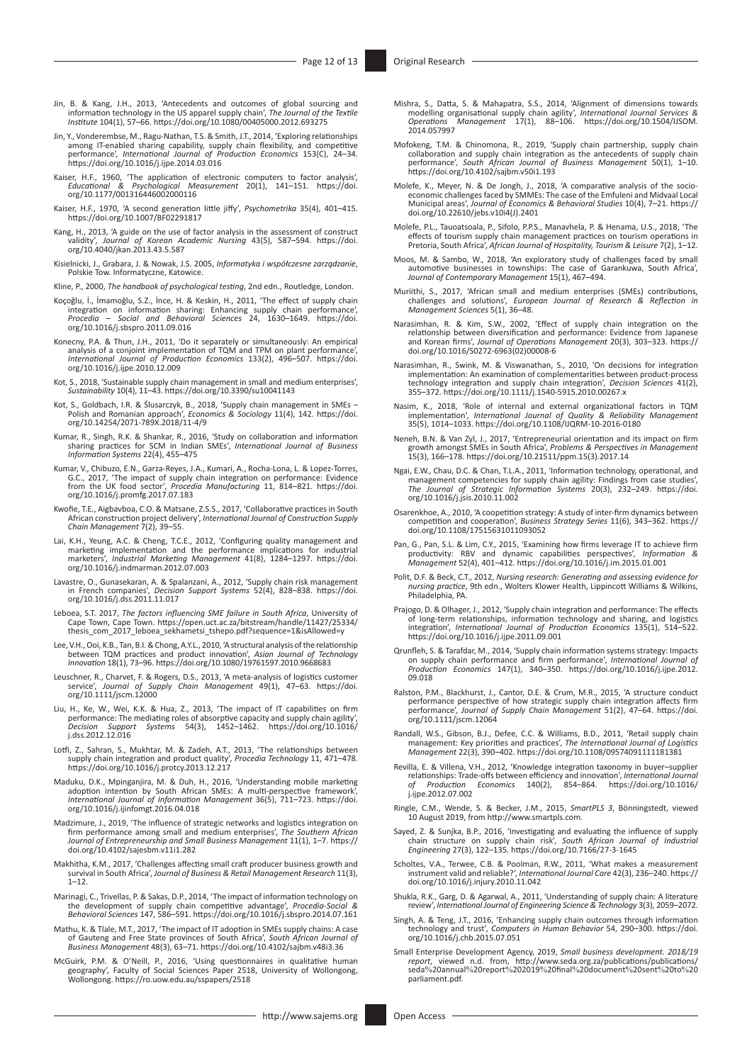- Jin, B. & Kang, J.H., 2013, 'Antecedents and outcomes of global sourcing and information technology in the US apparel supply chain', The Journal of the Textile Institute 104(1), 57–66. https://doi.org/10.1080/00405000.2012
- Jin, Y., Vonderembse, M., Ragu-Nathan, T.S. & Smith, J.T., 2014, 'Exploring relationships among IT-enabled sharing capability, supply chain flexibility, and competitive<br>performance', *International Journal of Production Economics* 153(C), 24–34.<br><https://doi.org/10.1016/j.ijpe.2014.03.016>
- Kaiser, H.F., 1960, 'The application of electronic computers to factor analysis', *Educational & Psychological Measurement* 20(1), 141–151. [https://doi.](https://doi.org/10.1177/001316446002000116) [org/10.1177/001316446002000116](https://doi.org/10.1177/001316446002000116)
- Kaiser, H.F., 1970, 'A second generation little jiffy', *Psychometrika* 35(4), 401–415. <https://doi.org/10.1007/BF02291817>
- Kang, H., 2013, 'A guide on the use of factor analysis in the assessment of construct validity', *Journal of Korean Academic Nursing* 43(5), 587–594. [https://doi.](https://doi.org/10.4040/jkan.2013.43.5.587) [org/10.4040/jkan.2013.43.5.587](https://doi.org/10.4040/jkan.2013.43.5.587)
- Kisielnicki, J., Grabara, J. & Nowak, J.S. 2005, *Informatyka i współczesne zarządzanie*, Polskie Tow. Informatyczne, Katowice.

Kline, P., 2000, *The handbook of psychological testing*, 2nd edn., Routledge, London.

- Koçoğlu, İ., İmamoğlu, S.Z., İnce, H. & Keskin, H., 2011, 'The effect of supply chain<br>integration on information sharing: Enhancing supply chain performance',<br>*Procedia Social and Behavioral Sciences* 24, 1630–1649. http
- Konecny, P.A. & Thun, J.H., 2011, 'Do it separately or simultaneously: An empirical<br>analysis of a conjoint implementation of TQM and TPM on plant performance',<br>International Journal of Production Economics 133(2), 496–507.
- Kot, S., 2018, 'Sustainable supply chain management in small and medium enterprises', *Sustainability* 10(4), 11–43. <https://doi.org/10.3390/su10041143>
- Kot, S., Goldbach, I.R. & Ślusarczyk, B., 2018, 'Supply chain management in SMEs Polish and Romanian approach', *Economics & Sociology* 11(4), 142. [https://doi.](https://doi.org/10.14254/2071-789X.2018/11-4/9) [org/10.14254/2071-789X.2018/11-4/9](https://doi.org/10.14254/2071-789X.2018/11-4/9)
- Kumar, R., Singh, R.K. & Shankar, R., 2016, 'Study on collaboration and information sharing practices for SCM in Indian SMEs', *International Journal of Business Information Systems* 22(4), 455–475
- Kumar, V., Chibuzo, E.N., Garza-Reyes, J.A., Kumari, A., Rocha-Lona, L. & Lopez-Torres, G.C., 2017, 'The impact of supply chain integration on performance: Evidence<br>from the UK food sector', *Procedia Manufacturing* 11, 814–821. [https://doi.](https://doi.org/10.1016/j.promfg.2017.07.183)<br>[org/10.1016/j.promfg.2017.07.183](https://doi.org/10.1016/j.promfg.2017.07.183)
- Kwofie, T.E., Aigbavboa, C.O. & Matsane, Z.S.S., 2017, 'Collaborative practices in South African construction project delivery', *International Journal of Construction Supply Chain Management* 7(2), 39–55.
- Lai, K.H., Yeung, A.C. & Cheng, T.C.E., 2012, 'Configuring quality management and<br>marketing implementation and the performance implications for industrial<br>marketers', *Industrial Marketing Management* 41(8), 1284–1297. htt
- Lavastre, O., Gunasekaran, A. & Spalanzani, A., 2012, 'Supply chain risk management in French companies', *Decision Support Systems* 52(4), 828–838. [https://doi.](https://doi.org/10.1016/j.dss.2011.11.017) [org/10.1016/j.dss.2011.11.017](https://doi.org/10.1016/j.dss.2011.11.017)
- Leboea, S.T. 2017, *The factors influencing SME failure in South Africa*, University of Cape Town, Cape Town. [https://open.uct.ac.za/bitstream/handle/11427/25334/](https://open.uct.ac.za/bitstream/handle/11427/25334/thesis_com_2017_leboea_sekhametsi_tshepo.pdf?sequence=1&isAllowed=y) [thesis\\_com\\_2017\\_leboea\\_sekhametsi\\_tshepo.pdf?sequence=1&isAllowed=y](https://open.uct.ac.za/bitstream/handle/11427/25334/thesis_com_2017_leboea_sekhametsi_tshepo.pdf?sequence=1&isAllowed=y)
- Lee, V.H., Ooi, K.B., Tan, B.I. & Chong, A.Y.L., 2010, 'A structural analysis of the relationship between TQM practices and product innovation', *Asian Journal of Technology Innovation* 18(1), 73–96. <https://doi.org/10.1080/19761597.2010.9668683>
- Leuschner, R., Charvet, F. & Rogers, D.S., 2013, 'A meta‐analysis of logistics customer service', *Journal of Supply Chain Management* 49(1), 47–63. [https://doi.](https://doi.org/10.1111/jscm.12000) [org/10.1111/jscm.12000](https://doi.org/10.1111/jscm.12000)
- Liu, H., Ke, W., Wei, K.K. & Hua, Z., 2013, 'The impact of IT capabilities on firm performance: The mediating roles of absorptive capacity and supply chain agility', *Decision Support Systems* 54(3), 1452–1462. [https://doi.org/10.1016/](https://doi.org/10.1016/j.dss.2012.12.016) [j.dss.2012.12.016](https://doi.org/10.1016/j.dss.2012.12.016)
- Lotfi, Z., Sahran, S., Mukhtar, M. & Zadeh, A.T., 2013, 'The relationships between supply chain integration and product quality', *Procedia Technology* 11, 471–478. <https://doi.org/10.1016/j.protcy.2013.12.217>
- Maduku, D.K., Mpinganjira, M. & Duh, H., 2016, 'Understanding mobile marketing<br>adoption intention by South African SMEs: A multi-perspective framework',<br>International Journal of Information Management 36(5), 711–723. https [org/10.1016/j.ijinfomgt.2016.04.018](https://doi.org/10.1016/j.ijinfomgt.2016.04.018)
- Madzimure, J., 2019, 'The influence of strategic networks and logistics integration on firm performance among small and medium enterprises', *The Southern African Journal of Entrepreneurship and Small Business Management* 11(1), 1–7. [https://](https://doi.org/10.4102/sajesbm.v11i1.282) [doi.org/10.4102/sajesbm.v11i1.282](https://doi.org/10.4102/sajesbm.v11i1.282)
- Makhitha, K.M., 2017, 'Challenges affecting small craft producer business growth and survival in South Africa', *Journal of Business & Retail Management Research* 11(3),  $1 - 12$ .
- Marinagi, C., Trivellas, P. & Sakas, D.P., 2014, 'The impact of information technology on the development of supply chain competitive advantage', *Procedia-Social & Behavioral Sciences* 147, 586–591. <https://doi.org/10.1016/j.sbspro.2014.07.161>
- Mathu, K. & Tlale, M.T., 2017, 'The impact of IT adoption in SMEs supply chains: A case of Gauteng and Free State provinces of South Africa', *South African Journal of Business Management* 48(3), 63–71. <https://doi.org/10.4102/sajbm.v48i3.36>
- McGuirk, P.M. & O'Neill, P., 2016, 'Using questionnaires in qualitative human geography', Faculty of Social Sciences Paper 2518, University of Wollongong,<br>Wollongong.<https://ro.uow.edu.au/sspapers/2518>
- Mishra, S., Datta, S. & Mahapatra, S.S., 2014, 'Alignment of dimensions towards<br>modelling organisational supply chain agility', International Journal Services &<br>Operations Management 17(1), 88-106. https://doi.org/10.1504/ [2014.057997](https://doi.org/10.1504/IJSOM.2014.057997)
- Mofokeng, T.M. & Chinomona, R., 2019, 'Supply chain partnership, supply chain collaboration and supply chain integration as the antecedents of supply chain performance', *South African Journal of Business Management* 50(1), 1–10. <https://doi.org/10.4102/sajbm.v50i1.193>
- Molefe, K., Meyer, N. & De Jongh, J., 2018, 'A comparative analysis of the socio-economic challenges faced by SMMEs: The case of the Emfuleni and Midvaal Local Municipal areas', *Journal of Economics & Behavioral Studies* 10(4), 7–21. [https://](https://doi.org/10.22610/jebs.v10i4(J).2401) [doi.org/10.22610/jebs.v10i4\(J\).2401](https://doi.org/10.22610/jebs.v10i4(J).2401)
- Molefe, P.L., Tauoatsoala, P., Sifolo, P.P.S., Manavhela, P. & Henama, U.S., 2018, 'The effects of tourism supply chain management practices on tourism operations in Pretoria, South Africa', *African Journal of Hospitality, Tourism & Leisure* 7(2), 1–12.
- Moos, M. & Sambo, W., 2018, 'An exploratory study of challenges faced by small automotive businesses in townships: The case of Garankuwa, South Africa', *Journal of Contemporary Management* 15(1), 467–494.
- Muriithi, S., 2017, 'African small and medium enterprises (SMEs) contributions, challenges and solutions', *European Journal of Research & Reflection in Management Sciences* 5(1), 36–48.
- Narasimhan, R. & Kim, S.W., 2002, 'Effect of supply chain integration on the<br>relationship between diversification and performance: Evidence from Japanese<br>and Korean firms', Journal of Operations Management 20(3), 303–323. [doi.org/10.1016/S0272-6963\(02\)00008-6](https://doi.org/10.1016/S0272-6963(02)00008-6)
- Narasimhan, R., Swink, M. & Viswanathan, S., 2010, 'On decisions for integration implementation: An examination of complementarities between product-process<br>technology integration and supply chain integration', *Decision Sciences* 41(2),<br>355–372.<https://doi.org/10.1111/j.1540-5915.2010.00267.x>
- Nasim, K., 2018, 'Role of internal and external organizational factors in TQM implementation', *International Journal of Quality & Reliability Management* 35(5), 1014–1033. <https://doi.org/10.1108/IJQRM-10-2016-0180>
- Neneh, B.N. & Van Zyl, J., 2017, 'Entrepreneurial orientation and its impact on firm<br>growth amongst SMEs in South Africa', *Problems & Perspectives in Management*<br>15(3), 166–178. [https://doi.org/10.21511/ppm.15\(3\).2017.14](https://doi.org/10.21511/ppm.15(3).2017.14)
- Ngai, E.W., Chau, D.C. & Chan, T.L.A., 2011, 'Information technology, operational, and<br>management competencies for supply chain agility: Findings from case studies',<br>The Journal of Strategic Information Systems 20(3), 232– [org/10.1016/j.jsis.2010.11.002](https://doi.org/10.1016/j.jsis.2010.11.002)
- Osarenkhoe, A., 2010, 'A coopetition strategy: A study of inter‐firm dynamics between competition and cooperation', *Business Strategy Series* 11(6), 343–362. [https://](https://doi.org/10.1108/17515631011093052) [doi.org/10.1108/17515631011093052](https://doi.org/10.1108/17515631011093052)
- Pan, G., Pan, S.L. & Lim, C.Y., 2015, 'Examining how firms leverage IT to achieve firm<br>productivity: RBV and dynamic capabilities perspectives', *Information &*<br>Management 52(4), 401–412. https://doi.org/10.1016/j.im.2015.
- Polit, D.F. & Beck, C.T., 2012, *Nursing research: Generating and assessing evidence for nursing practice*, 9th edn., Wolters Klower Health, Lippincott Williams & Wilkins, Philadelphia, PA.
- Prajogo, D. & Olhager, J., 2012, 'Supply chain integration and performance: The effects of long-term relationships, information technology and sharing, and logistics integration', *International Journal of Production Economics* 135(1), 514–522. <https://doi.org/10.1016/j.ijpe.2011.09.001>
- Qrunfleh, S. & Tarafdar, M., 2014, 'Supply chain information systems strategy: Impacts<br>on supply chain performance and firm performance', *International Journal of*<br>Production Economics 147(1), 340–350. https://doi.org/10. [09.018](https://doi.org/10.1016/j.ijpe.2012.09.018)
- Ralston, P.M., Blackhurst, J., Cantor, D.E. & Crum, M.R., 2015, 'A structure conduct performance perspective of how strategic supply chain integration affects firm performance', *Journal of Supply Chain Management* 51(2), 47–64. [https://doi.](https://doi.org/10.1111/jscm.12064) [org/10.1111/jscm.12064](https://doi.org/10.1111/jscm.12064)
- Randall, W.S., Gibson, B.J., Defee, C.C. & Williams, B.D., 2011, 'Retail supply chain management: Key priorities and practices', *The International Journal of Logistics Management* 22(3), 390–402. <https://doi.org/10.1108/09574091111181381>
- Revilla, E. & Villena, V.H., 2012, 'Knowledge integration taxonomy in buyer–supplier relationships: Trade-offs between efficiency and innovation', *International Journal of Production Economics* 140(2), 854–864. [https://doi.org/10.1016/](https://doi.org/10.1016/j.ijpe.2012.07.002) [j.ijpe.2012.07.002](https://doi.org/10.1016/j.ijpe.2012.07.002)
- Ringle, C.M., Wende, S. & Becker, J.M., 2015, *SmartPLS 3*, Bönningstedt, viewed 10 August 2019, from [http://www.smartpls.com.](http://www.smartpls.com)
- Sayed, Z. & Sunjka, B.P., 2016, 'Investigating and evaluating the influence of supply chain structure on supply chain risk', South African Journal of Industrial Engineering 27(3), 122–135. <https://doi.org/10.7166/27-3-1645>
- Scholtes, V.A., Terwee, C.B. & Poolman, R.W., 2011, 'What makes a measurement instrument valid and reliable?', *International Journal Care* 42(3), 236–240. [https://](https://doi.org/10.1016/j.injury.2010.11.042) [doi.org/10.1016/j.injury.2010.11.042](https://doi.org/10.1016/j.injury.2010.11.042)
- Shukla, R.K., Garg, D. & Agarwal, A., 2011, 'Understanding of supply chain: A literature review', *International Journal of Engineering Science & Technology* 3(3), 2059–2072.
- Singh, A. & Teng, J.T., 2016, 'Enhancing supply chain outcomes through information technology and trust', *Computers in Human Behavior* 54, 290–300. [https://doi.](https://doi.org/10.1016/j.chb.2015.07.051) [org/10.1016/j.chb.2015.07.051](https://doi.org/10.1016/j.chb.2015.07.051)
- Small Enterprise Development Agency, 2019, *Small business development. 2018/19 report*[, viewed n.d. from, http://www.seda.org.za/publications/publications/](http://www.seda.org.za/publications/publications/seda%20annual%20report%202019%20final%20document%20sent%20to%20parliament.pdf) seda%20annual%20report%202019%20final%20document%20sent%20to%20 [parliament.pdf](http://www.seda.org.za/publications/publications/seda%20annual%20report%202019%20final%20document%20sent%20to%20parliament.pdf).